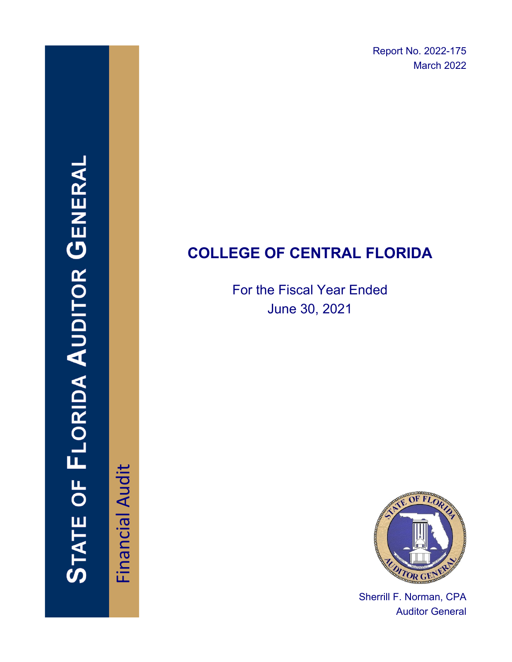Report No. 2022-175 March 2022

# STATE OF FLORIDA AUDITOR GENERAI

Financial Audit Financial Audit

# **COLLEGE OF CENTRAL FLORIDA**

For the Fiscal Year Ended June 30, 2021



Sherrill F. Norman, CPA Auditor General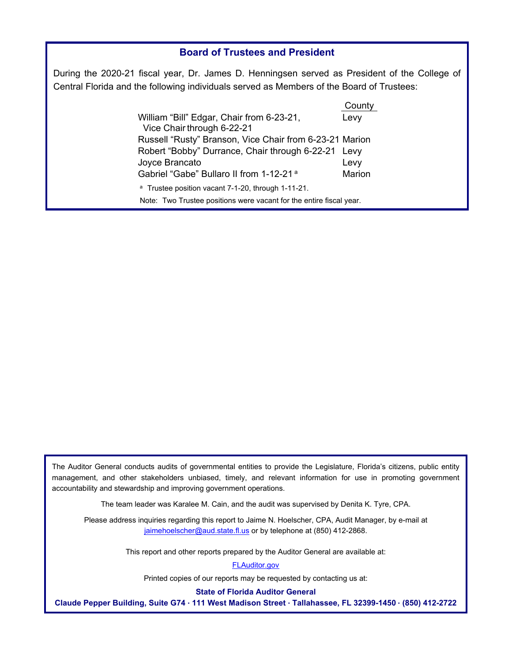### **Board of Trustees and President**

During the 2020-21 fiscal year, Dr. James D. Henningsen served as President of the College of Central Florida and the following individuals served as Members of the Board of Trustees:

|                                                                     | County        |
|---------------------------------------------------------------------|---------------|
| William "Bill" Edgar, Chair from 6-23-21,                           | Levy          |
| Vice Chair through 6-22-21                                          |               |
| Russell "Rusty" Branson, Vice Chair from 6-23-21 Marion             |               |
| Robert "Bobby" Durrance, Chair through 6-22-21 Levy                 |               |
| Joyce Brancato                                                      | Levy          |
| Gabriel "Gabe" Bullaro II from 1-12-21 <sup>a</sup>                 | <b>Marion</b> |
| <sup>a</sup> Trustee position vacant 7-1-20, through 1-11-21.       |               |
| Note: Two Trustee positions were vacant for the entire fiscal year. |               |

The Auditor General conducts audits of governmental entities to provide the Legislature, Florida's citizens, public entity management, and other stakeholders unbiased, timely, and relevant information for use in promoting government accountability and stewardship and improving government operations.

The team leader was Karalee M. Cain, and the audit was supervised by Denita K. Tyre, CPA.

Please address inquiries regarding this report to Jaime N. Hoelscher, CPA, Audit Manager, by e-mail at jaimehoelscher@aud.state.fl.us or by telephone at (850) 412-2868.

This report and other reports prepared by the Auditor General are available at:

[FLAuditor.gov](http://flauditor.gov/) 

Printed copies of our reports may be requested by contacting us at:

**State of Florida Auditor General** 

**Claude Pepper Building, Suite G74 · 111 West Madison Street · Tallahassee, FL 32399-1450 · (850) 412-2722**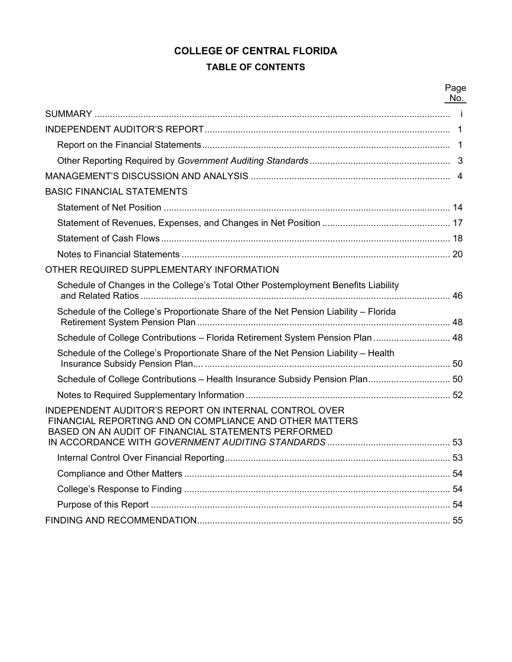### **COLLEGE OF CENTRAL FLORIDA TABLE OF CONTENTS**

Page

|                                                                                                                                                                         | No. |
|-------------------------------------------------------------------------------------------------------------------------------------------------------------------------|-----|
|                                                                                                                                                                         |     |
|                                                                                                                                                                         |     |
|                                                                                                                                                                         |     |
|                                                                                                                                                                         |     |
|                                                                                                                                                                         |     |
| <b>BASIC FINANCIAL STATEMENTS</b>                                                                                                                                       |     |
|                                                                                                                                                                         |     |
|                                                                                                                                                                         |     |
|                                                                                                                                                                         |     |
|                                                                                                                                                                         |     |
| OTHER REQUIRED SUPPLEMENTARY INFORMATION                                                                                                                                |     |
| Schedule of Changes in the College's Total Other Postemployment Benefits Liability                                                                                      |     |
| Schedule of the College's Proportionate Share of the Net Pension Liability - Florida                                                                                    |     |
| Schedule of College Contributions - Florida Retirement System Pension Plan  48                                                                                          |     |
| Schedule of the College's Proportionate Share of the Net Pension Liability - Health                                                                                     |     |
| Schedule of College Contributions - Health Insurance Subsidy Pension Plan 50                                                                                            |     |
|                                                                                                                                                                         |     |
| INDEPENDENT AUDITOR'S REPORT ON INTERNAL CONTROL OVER<br>FINANCIAL REPORTING AND ON COMPLIANCE AND OTHER MATTERS<br>BASED ON AN AUDIT OF FINANCIAL STATEMENTS PERFORMED |     |
|                                                                                                                                                                         |     |
|                                                                                                                                                                         |     |
|                                                                                                                                                                         |     |
|                                                                                                                                                                         |     |
|                                                                                                                                                                         |     |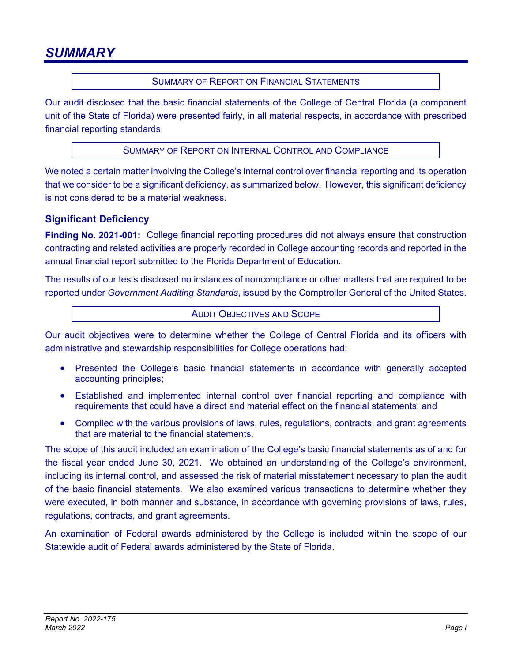### SUMMARY OF REPORT ON FINANCIAL STATEMENTS

<span id="page-3-0"></span>Our audit disclosed that the basic financial statements of the College of Central Florida (a component unit of the State of Florida) were presented fairly, in all material respects, in accordance with prescribed financial reporting standards.

SUMMARY OF REPORT ON INTERNAL CONTROL AND COMPLIANCE

We noted a certain matter involving the College's internal control over financial reporting and its operation that we consider to be a significant deficiency, as summarized below. However, this significant deficiency is not considered to be a material weakness.

### **Significant Deficiency**

Finding No. 2021-001: College financial reporting procedures did not always ensure that construction contracting and related activities are properly recorded in College accounting records and reported in the annual financial report submitted to the Florida Department of Education.

The results of our tests disclosed no instances of noncompliance or other matters that are required to be reported under *Government Auditing Standards*, issued by the Comptroller General of the United States.

### AUDIT OBJECTIVES AND SCOPE

Our audit objectives were to determine whether the College of Central Florida and its officers with administrative and stewardship responsibilities for College operations had:

- Presented the College's basic financial statements in accordance with generally accepted accounting principles;
- Established and implemented internal control over financial reporting and compliance with requirements that could have a direct and material effect on the financial statements; and
- Complied with the various provisions of laws, rules, regulations, contracts, and grant agreements that are material to the financial statements.

The scope of this audit included an examination of the College's basic financial statements as of and for the fiscal year ended June 30, 2021. We obtained an understanding of the College's environment, including its internal control, and assessed the risk of material misstatement necessary to plan the audit of the basic financial statements. We also examined various transactions to determine whether they were executed, in both manner and substance, in accordance with governing provisions of laws, rules, regulations, contracts, and grant agreements.

An examination of Federal awards administered by the College is included within the scope of our Statewide audit of Federal awards administered by the State of Florida.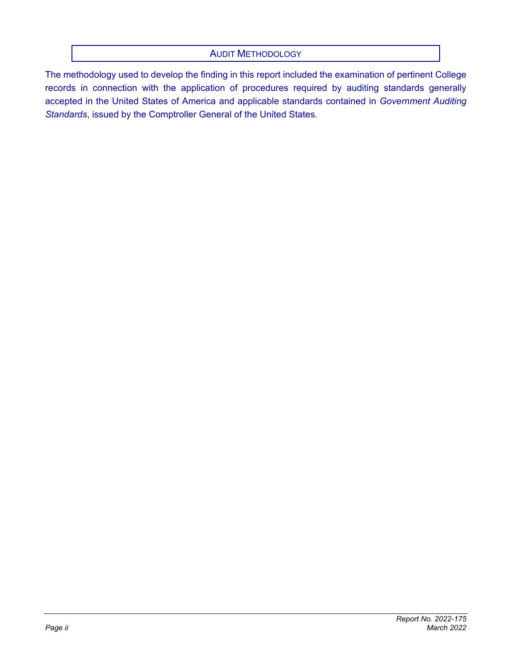### AUDIT METHODOLOGY

The methodology used to develop the finding in this report included the examination of pertinent College records in connection with the application of procedures required by auditing standards generally accepted in the United States of America and applicable standards contained in *Government Auditing Standards*, issued by the Comptroller General of the United States.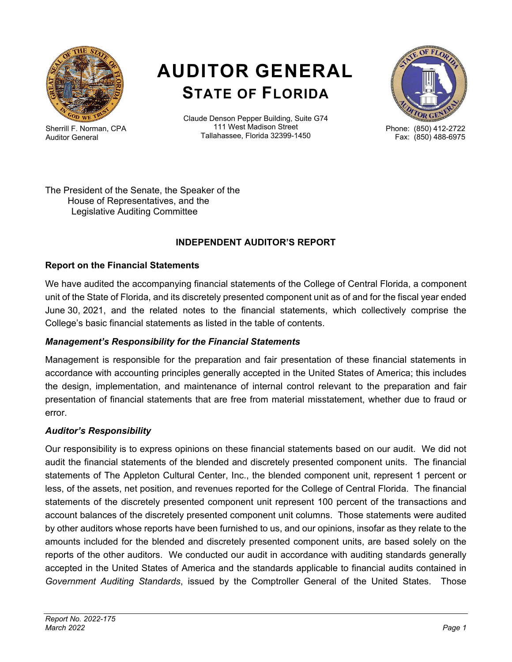<span id="page-5-0"></span>

Sherrill F. Norman, CPA Auditor General

# **AUDITOR GENERAL STATE OF FLORIDA**

Claude Denson Pepper Building, Suite G74 111 West Madison Street Tallahassee, Florida 32399-1450



Phone: (850) 412-2722 Fax: (850) 488-6975

The President of the Senate, the Speaker of the House of Representatives, and the Legislative Auditing Committee

### **INDEPENDENT AUDITOR'S REPORT**

### **Report on the Financial Statements**

We have audited the accompanying financial statements of the College of Central Florida, a component unit of the State of Florida, and its discretely presented component unit as of and for the fiscal year ended June 30, 2021, and the related notes to the financial statements, which collectively comprise the College's basic financial statements as listed in the table of contents.

### *Management's Responsibility for the Financial Statements*

Management is responsible for the preparation and fair presentation of these financial statements in accordance with accounting principles generally accepted in the United States of America; this includes the design, implementation, and maintenance of internal control relevant to the preparation and fair presentation of financial statements that are free from material misstatement, whether due to fraud or error.

### *Auditor's Responsibility*

Our responsibility is to express opinions on these financial statements based on our audit. We did not audit the financial statements of the blended and discretely presented component units. The financial statements of The Appleton Cultural Center, Inc., the blended component unit, represent 1 percent or less, of the assets, net position, and revenues reported for the College of Central Florida. The financial statements of the discretely presented component unit represent 100 percent of the transactions and account balances of the discretely presented component unit columns. Those statements were audited by other auditors whose reports have been furnished to us, and our opinions, insofar as they relate to the amounts included for the blended and discretely presented component units, are based solely on the reports of the other auditors. We conducted our audit in accordance with auditing standards generally accepted in the United States of America and the standards applicable to financial audits contained in *Government Auditing Standards*, issued by the Comptroller General of the United States. Those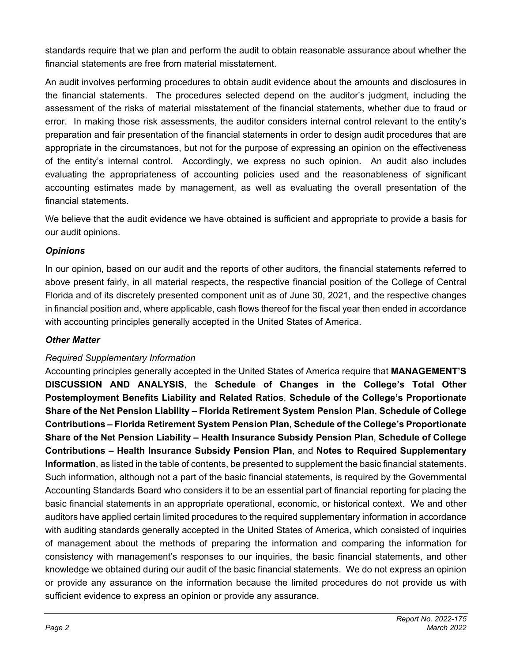standards require that we plan and perform the audit to obtain reasonable assurance about whether the financial statements are free from material misstatement.

An audit involves performing procedures to obtain audit evidence about the amounts and disclosures in the financial statements. The procedures selected depend on the auditor's judgment, including the assessment of the risks of material misstatement of the financial statements, whether due to fraud or error. In making those risk assessments, the auditor considers internal control relevant to the entity's preparation and fair presentation of the financial statements in order to design audit procedures that are appropriate in the circumstances, but not for the purpose of expressing an opinion on the effectiveness of the entity's internal control. Accordingly, we express no such opinion. An audit also includes evaluating the appropriateness of accounting policies used and the reasonableness of significant accounting estimates made by management, as well as evaluating the overall presentation of the financial statements.

We believe that the audit evidence we have obtained is sufficient and appropriate to provide a basis for our audit opinions.

### *Opinions*

In our opinion, based on our audit and the reports of other auditors, the financial statements referred to above present fairly, in all material respects, the respective financial position of the College of Central Florida and of its discretely presented component unit as of June 30, 2021, and the respective changes in financial position and, where applicable, cash flows thereof for the fiscal year then ended in accordance with accounting principles generally accepted in the United States of America.

### *Other Matter*

### *Required Supplementary Information*

Accounting principles generally accepted in the United States of America require that **MANAGEMENT'S DISCUSSION AND ANALYSIS**, the **Schedule of Changes in the College's Total Other Postemployment Benefits Liability and Related Ratios**, **Schedule of the College's Proportionate Share of the Net Pension Liability – Florida Retirement System Pension Plan**, **Schedule of College Contributions – Florida Retirement System Pension Plan**, **Schedule of the College's Proportionate Share of the Net Pension Liability – Health Insurance Subsidy Pension Plan**, **Schedule of College Contributions – Health Insurance Subsidy Pension Plan**, and **Notes to Required Supplementary Information**, as listed in the table of contents, be presented to supplement the basic financial statements. Such information, although not a part of the basic financial statements, is required by the Governmental Accounting Standards Board who considers it to be an essential part of financial reporting for placing the basic financial statements in an appropriate operational, economic, or historical context. We and other auditors have applied certain limited procedures to the required supplementary information in accordance with auditing standards generally accepted in the United States of America, which consisted of inquiries of management about the methods of preparing the information and comparing the information for consistency with management's responses to our inquiries, the basic financial statements, and other knowledge we obtained during our audit of the basic financial statements. We do not express an opinion or provide any assurance on the information because the limited procedures do not provide us with sufficient evidence to express an opinion or provide any assurance.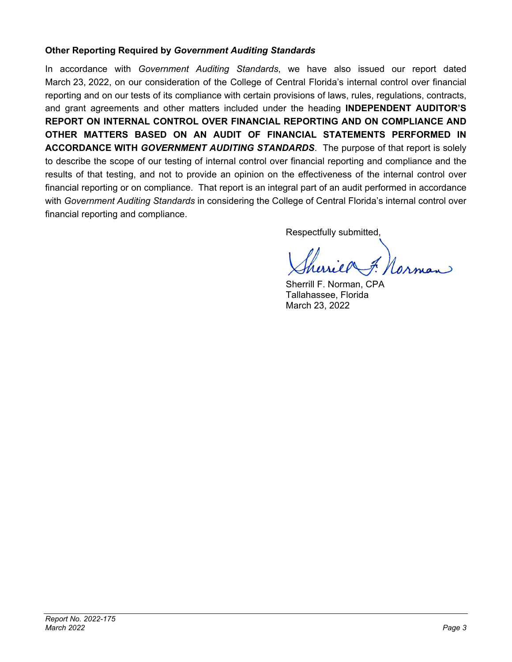### <span id="page-7-0"></span>**Other Reporting Required by** *Government Auditing Standards*

In accordance with *Government Auditing Standards*, we have also issued our report dated March 23, 2022, on our consideration of the College of Central Florida's internal control over financial reporting and on our tests of its compliance with certain provisions of laws, rules, regulations, contracts, and grant agreements and other matters included under the heading **INDEPENDENT AUDITOR'S REPORT ON INTERNAL CONTROL OVER FINANCIAL REPORTING AND ON COMPLIANCE AND OTHER MATTERS BASED ON AN AUDIT OF FINANCIAL STATEMENTS PERFORMED IN ACCORDANCE WITH** *GOVERNMENT AUDITING STANDARDS*. The purpose of that report is solely to describe the scope of our testing of internal control over financial reporting and compliance and the results of that testing, and not to provide an opinion on the effectiveness of the internal control over financial reporting or on compliance. That report is an integral part of an audit performed in accordance with *Government Auditing Standards* in considering the College of Central Florida's internal control over financial reporting and compliance.

Respectfully submitted,

Sherrill F. Norman, CPA Tallahassee, Florida March 23, 2022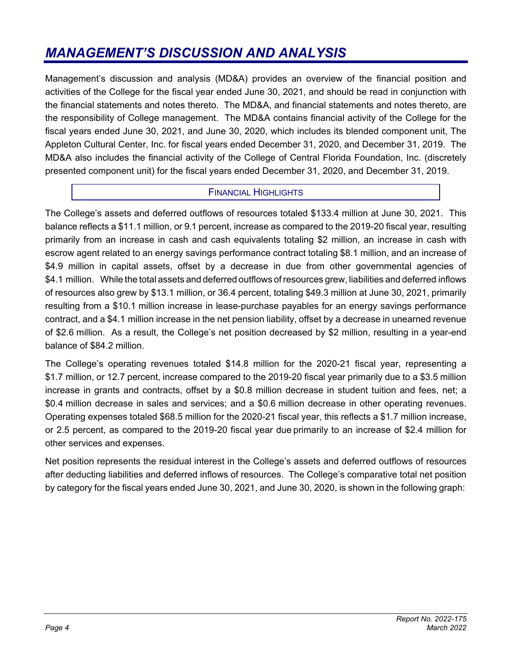# *MANAGEMENT'S DISCUSSION AND ANALYSIS*

Management's discussion and analysis (MD&A) provides an overview of the financial position and activities of the College for the fiscal year ended June 30, 2021, and should be read in conjunction with the financial statements and notes thereto. The MD&A, and financial statements and notes thereto, are the responsibility of College management. The MD&A contains financial activity of the College for the fiscal years ended June 30, 2021, and June 30, 2020, which includes its blended component unit, The Appleton Cultural Center, Inc. for fiscal years ended December 31, 2020, and December 31, 2019. The MD&A also includes the financial activity of the College of Central Florida Foundation, Inc. (discretely presented component unit) for the fiscal years ended December 31, 2020, and December 31, 2019.

### FINANCIAL HIGHLIGHTS

The College's assets and deferred outflows of resources totaled \$133.4 million at June 30, 2021. This balance reflects a \$11.1 million, or 9.1 percent, increase as compared to the 2019-20 fiscal year, resulting primarily from an increase in cash and cash equivalents totaling \$2 million, an increase in cash with escrow agent related to an energy savings performance contract totaling \$8.1 million, and an increase of \$4.9 million in capital assets, offset by a decrease in due from other governmental agencies of \$4.1 million. While the total assets and deferred outflows of resources grew, liabilities and deferred inflows of resources also grew by \$13.1 million, or 36.4 percent, totaling \$49.3 million at June 30, 2021, primarily resulting from a \$10.1 million increase in lease-purchase payables for an energy savings performance contract, and a \$4.1 million increase in the net pension liability, offset by a decrease in unearned revenue of \$2.6 million. As a result, the College's net position decreased by \$2 million, resulting in a year-end balance of \$84.2 million.

The College's operating revenues totaled \$14.8 million for the 2020-21 fiscal year, representing a \$1.7 million, or 12.7 percent, increase compared to the 2019-20 fiscal year primarily due to a \$3.5 million increase in grants and contracts, offset by a \$0.8 million decrease in student tuition and fees, net; a \$0.4 million decrease in sales and services; and a \$0.6 million decrease in other operating revenues. Operating expenses totaled \$68.5 million for the 2020-21 fiscal year, this reflects a \$1.7 million increase, or 2.5 percent, as compared to the 2019-20 fiscal year due primarily to an increase of \$2.4 million for other services and expenses.

Net position represents the residual interest in the College's assets and deferred outflows of resources after deducting liabilities and deferred inflows of resources. The College's comparative total net position by category for the fiscal years ended June 30, 2021, and June 30, 2020, is shown in the following graph: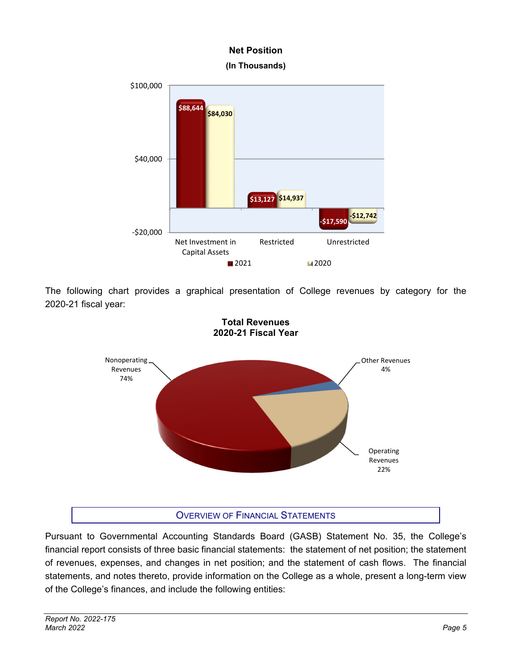**Net Position (In Thousands)** 



The following chart provides a graphical presentation of College revenues by category for the 2020-21 fiscal year:



Pursuant to Governmental Accounting Standards Board (GASB) Statement No. 35, the College's financial report consists of three basic financial statements: the statement of net position; the statement of revenues, expenses, and changes in net position; and the statement of cash flows. The financial statements, and notes thereto, provide information on the College as a whole, present a long-term view of the College's finances, and include the following entities: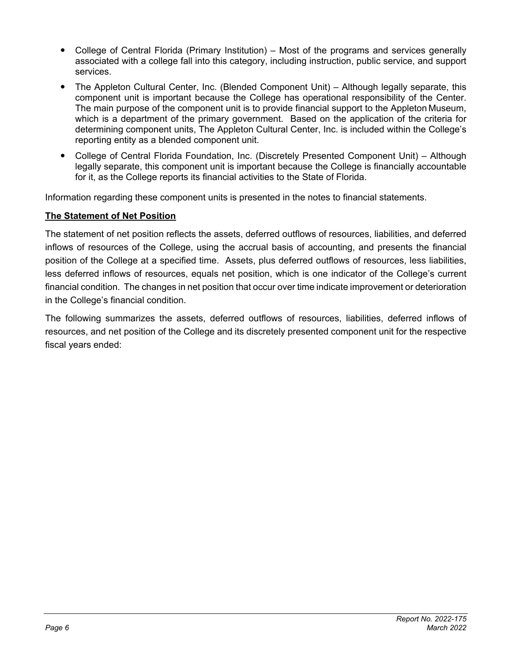- College of Central Florida (Primary Institution) Most of the programs and services generally associated with a college fall into this category, including instruction, public service, and support services.
- The Appleton Cultural Center, Inc. (Blended Component Unit) Although legally separate, this component unit is important because the College has operational responsibility of the Center. The main purpose of the component unit is to provide financial support to the Appleton Museum, which is a department of the primary government. Based on the application of the criteria for determining component units, The Appleton Cultural Center, Inc. is included within the College's reporting entity as a blended component unit.
- College of Central Florida Foundation, Inc. (Discretely Presented Component Unit) Although legally separate, this component unit is important because the College is financially accountable for it, as the College reports its financial activities to the State of Florida.

Information regarding these component units is presented in the notes to financial statements.

### **The Statement of Net Position**

The statement of net position reflects the assets, deferred outflows of resources, liabilities, and deferred inflows of resources of the College, using the accrual basis of accounting, and presents the financial position of the College at a specified time. Assets, plus deferred outflows of resources, less liabilities, less deferred inflows of resources, equals net position, which is one indicator of the College's current financial condition. The changes in net position that occur over time indicate improvement or deterioration in the College's financial condition.

The following summarizes the assets, deferred outflows of resources, liabilities, deferred inflows of resources, and net position of the College and its discretely presented component unit for the respective fiscal years ended: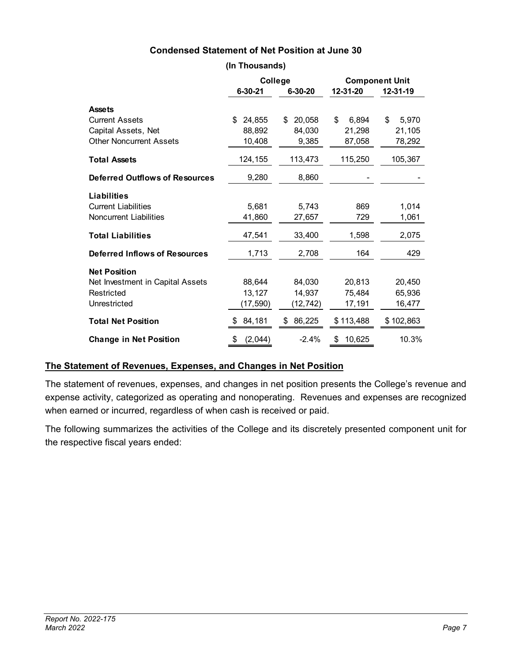### **Condensed Statement of Net Position at June 30**

**(In Thousands)** 

|                                       | College       |              |              | <b>Component Unit</b> |
|---------------------------------------|---------------|--------------|--------------|-----------------------|
|                                       | 6-30-21       | 6-30-20      | 12-31-20     | 12-31-19              |
| <b>Assets</b>                         |               |              |              |                       |
| <b>Current Assets</b>                 | \$<br>24,855  | 20,058<br>\$ | 6,894<br>\$  | 5,970<br>\$           |
| Capital Assets, Net                   | 88,892        | 84,030       | 21,298       | 21,105                |
| <b>Other Noncurrent Assets</b>        | 10,408        | 9,385        | 87,058       | 78,292                |
| <b>Total Assets</b>                   | 124,155       | 113,473      | 115,250      | 105,367               |
| <b>Deferred Outflows of Resources</b> | 9,280         | 8,860        |              |                       |
| <b>Liabilities</b>                    |               |              |              |                       |
| <b>Current Liabilities</b>            | 5,681         | 5,743        | 869          | 1,014                 |
| <b>Noncurrent Liabilities</b>         | 41,860        | 27,657       | 729          | 1,061                 |
| <b>Total Liabilities</b>              | 47,541        | 33,400       | 1,598        | 2,075                 |
| Deferred Inflows of Resources         | 1,713         | 2,708        | 164          | 429                   |
| <b>Net Position</b>                   |               |              |              |                       |
| Net Investment in Capital Assets      | 88,644        | 84,030       | 20,813       | 20,450                |
| Restricted                            | 13,127        | 14,937       | 75,484       | 65,936                |
| Unrestricted                          | (17, 590)     | (12, 742)    | 17,191       | 16,477                |
| <b>Total Net Position</b>             | 84,181        | 86,225<br>\$ | \$113,488    | \$102,863             |
| <b>Change in Net Position</b>         | \$<br>(2,044) | $-2.4%$      | \$<br>10,625 | 10.3%                 |

### **The Statement of Revenues, Expenses, and Changes in Net Position**

The statement of revenues, expenses, and changes in net position presents the College's revenue and expense activity, categorized as operating and nonoperating. Revenues and expenses are recognized when earned or incurred, regardless of when cash is received or paid.

The following summarizes the activities of the College and its discretely presented component unit for the respective fiscal years ended: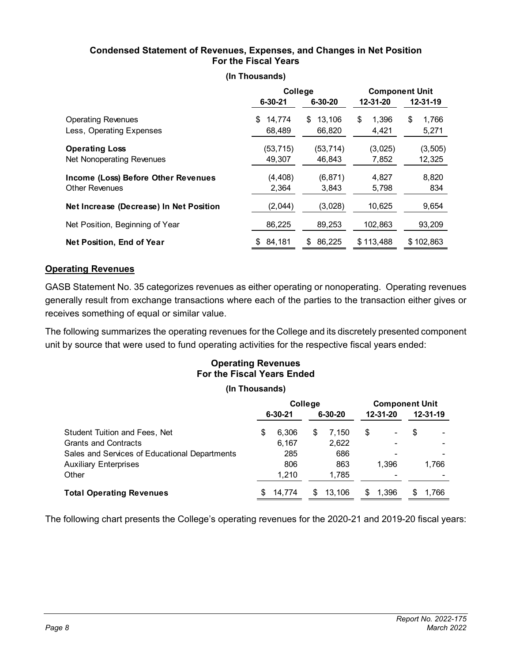### **Condensed Statement of Revenues, Expenses, and Changes in Net Position For the Fiscal Years**

**(In Thousands)** 

|                                         |               | College       |             | <b>Component Unit</b> |  |
|-----------------------------------------|---------------|---------------|-------------|-----------------------|--|
|                                         | $6 - 30 - 21$ | $6 - 30 - 20$ | 12-31-20    | $12 - 31 - 19$        |  |
| <b>Operating Revenues</b>               | 14.774<br>\$  | \$<br>13.106  | \$<br>1.396 | \$<br>1.766           |  |
| Less, Operating Expenses                | 68,489        | 66,820        | 4,421       | 5,271                 |  |
| <b>Operating Loss</b>                   | (53, 715)     | (53, 714)     | (3,025)     | (3, 505)              |  |
| Net Nonoperating Revenues               | 49,307        | 46,843        | 7,852       | 12,325                |  |
| Income (Loss) Before Other Revenues     | (4, 408)      | (6, 871)      | 4.827       | 8,820                 |  |
| <b>Other Revenues</b>                   | 2,364         | 3,843         | 5,798       | 834                   |  |
| Net Increase (Decrease) In Net Position | (2,044)       | (3,028)       | 10,625      | 9,654                 |  |
| Net Position, Beginning of Year         | 86,225        | 89,253        | 102,863     | 93,209                |  |
| <b>Net Position, End of Year</b>        | 84,181<br>S.  | 86,225<br>\$  | \$113,488   | \$102,863             |  |

### **Operating Revenues**

GASB Statement No. 35 categorizes revenues as either operating or nonoperating. Operating revenues generally result from exchange transactions where each of the parties to the transaction either gives or receives something of equal or similar value.

The following summarizes the operating revenues for the College and its discretely presented component unit by source that were used to fund operating activities for the respective fiscal years ended:

### **Operating Revenues For the Fiscal Years Ended**

### **(In Thousands)**

|                                               | College |                    |   | <b>Component Unit</b> |    |                |   |       |
|-----------------------------------------------|---------|--------------------|---|-----------------------|----|----------------|---|-------|
|                                               |         | 6-30-21<br>6-30-20 |   | 12-31-20              |    | $12 - 31 - 19$ |   |       |
| <b>Student Tuition and Fees, Net</b>          | \$      | 6.306              | S | 7.150                 | \$ |                | S |       |
| <b>Grants and Contracts</b>                   |         | 6.167              |   | 2,622                 |    |                |   |       |
| Sales and Services of Educational Departments |         | 285                |   | 686                   |    |                |   |       |
| <b>Auxiliary Enterprises</b>                  |         | 806                |   | 863                   |    | 1.396          |   | 1.766 |
| Other                                         |         | 1.210              |   | 1,785                 |    |                |   |       |
| <b>Total Operating Revenues</b>               |         | 14.774             | S | 13.106                | S  | 1.396          |   | 1.766 |

The following chart presents the College's operating revenues for the 2020-21 and 2019-20 fiscal years: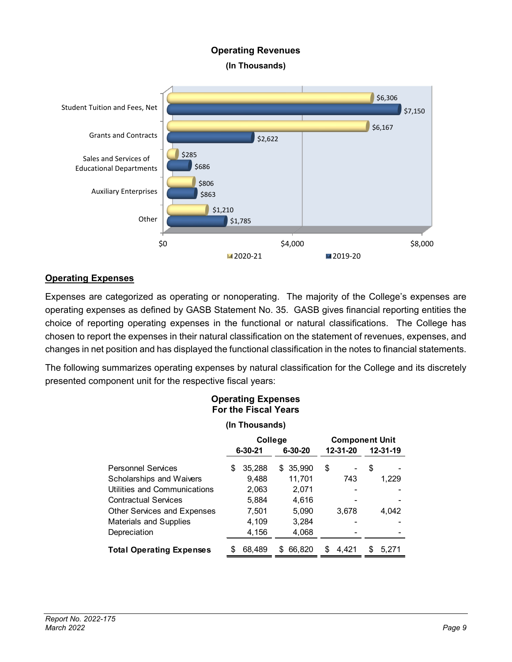### **(In Thousands)**  \$0 \$8,000 \$8,000 \$8,000 **Other** Auxiliary Enterprises Sales and Services of Educational Departments Grants and Contracts Student Tuition and Fees, Net \$1,785 \$863 \$686 \$2,622 \$7,150 \$1,210 \$806 \$285 \$6,167  $$6,306$ ■ 2020-21 2019-20

**Operating Revenues** 

### **Operating Expenses**

Expenses are categorized as operating or nonoperating. The majority of the College's expenses are operating expenses as defined by GASB Statement No. 35. GASB gives financial reporting entities the choice of reporting operating expenses in the functional or natural classifications. The College has chosen to report the expenses in their natural classification on the statement of revenues, expenses, and changes in net position and has displayed the functional classification in the notes to financial statements.

The following summarizes operating expenses by natural classification for the College and its discretely presented component unit for the respective fiscal years:

### **Operating Expenses For the Fiscal Years**

### **(In Thousands)**

|                                    | College<br>$6 - 30 - 20$<br>6-30-21 |             | 12-31-20   | <b>Component Unit</b><br>12-31-19 |  |
|------------------------------------|-------------------------------------|-------------|------------|-----------------------------------|--|
|                                    |                                     |             |            |                                   |  |
| Personnel Services                 | 35,288<br>S                         | \$35,990    | \$         | S                                 |  |
| Scholarships and Waivers           | 9,488                               | 11,701      | 743        | 1,229                             |  |
| Utilities and Communications       | 2,063                               | 2,071       |            |                                   |  |
| Contractual Services               | 5,884                               | 4,616       |            |                                   |  |
| <b>Other Services and Expenses</b> | 7,501                               | 5,090       | 3,678      | 4,042                             |  |
| <b>Materials and Supplies</b>      | 4,109                               | 3,284       |            |                                   |  |
| Depreciation                       | 4,156                               | 4,068       |            |                                   |  |
| <b>Total Operating Expenses</b>    | 68,489                              | 66,820<br>S | 4.421<br>S | 5,271<br>\$                       |  |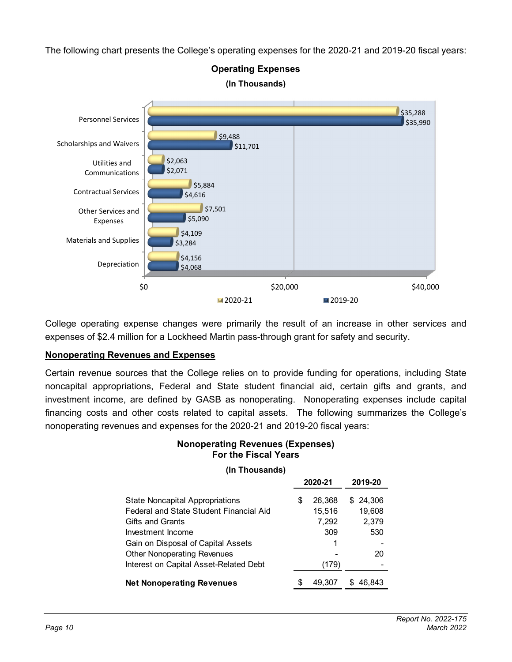The following chart presents the College's operating expenses for the 2020-21 and 2019-20 fiscal years:



College operating expense changes were primarily the result of an increase in other services and expenses of \$2.4 million for a Lockheed Martin pass-through grant for safety and security.

### **Nonoperating Revenues and Expenses**

Certain revenue sources that the College relies on to provide funding for operations, including State noncapital appropriations, Federal and State student financial aid, certain gifts and grants, and investment income, are defined by GASB as nonoperating. Nonoperating expenses include capital financing costs and other costs related to capital assets. The following summarizes the College's nonoperating revenues and expenses for the 2020-21 and 2019-20 fiscal years:

### **Nonoperating Revenues (Expenses) For the Fiscal Years**

**(In Thousands)** 

|                                                                            | 2020-21 |                  | 2019-20            |
|----------------------------------------------------------------------------|---------|------------------|--------------------|
| State Noncapital Appropriations<br>Federal and State Student Financial Aid | \$      | 26,368<br>15,516 | \$24,306<br>19,608 |
| Gifts and Grants                                                           |         | 7,292            | 2,379              |
| Investment Income                                                          |         | 309              | 530                |
| Gain on Disposal of Capital Assets                                         |         | 1                |                    |
| <b>Other Nonoperating Revenues</b>                                         |         |                  | 20                 |
| Interest on Capital Asset-Related Debt                                     |         | (179)            |                    |
| <b>Net Nonoperating Revenues</b>                                           | \$      | 49.307           | 46.843             |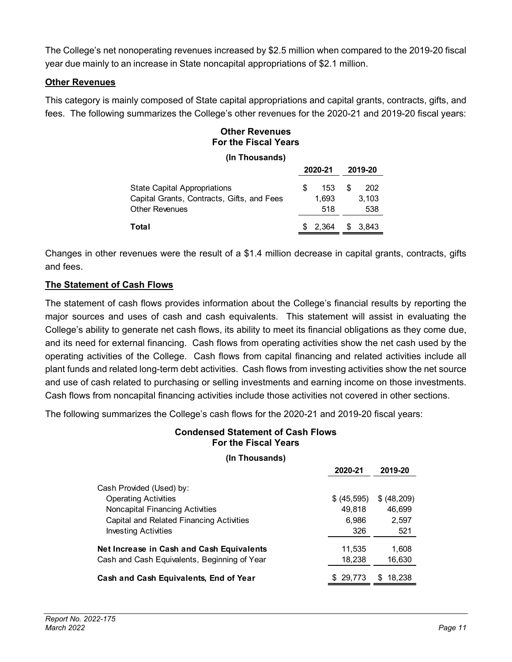The College's net nonoperating revenues increased by \$2.5 million when compared to the 2019-20 fiscal year due mainly to an increase in State noncapital appropriations of \$2.1 million.

### **Other Revenues**

This category is mainly composed of State capital appropriations and capital grants, contracts, gifts, and fees. The following summarizes the College's other revenues for the 2020-21 and 2019-20 fiscal years:

### **Other Revenues For the Fiscal Years (In Thousands)**

| (in Thousangs)                             |    |         |   |         |
|--------------------------------------------|----|---------|---|---------|
|                                            |    | 2020-21 |   | 2019-20 |
| <b>State Capital Appropriations</b>        | S. | 153     | S | 202     |
| Capital Grants, Contracts, Gifts, and Fees |    | 1.693   |   | 3.103   |
| Other Revenues                             |    | 518     |   | 538     |
| Total                                      |    | \$2,364 |   | \$3.843 |

Changes in other revenues were the result of a \$1.4 million decrease in capital grants, contracts, gifts and fees.

### **The Statement of Cash Flows**

The statement of cash flows provides information about the College's financial results by reporting the major sources and uses of cash and cash equivalents. This statement will assist in evaluating the College's ability to generate net cash flows, its ability to meet its financial obligations as they come due, and its need for external financing. Cash flows from operating activities show the net cash used by the operating activities of the College. Cash flows from capital financing and related activities include all plant funds and related long-term debt activities. Cash flows from investing activities show the net source and use of cash related to purchasing or selling investments and earning income on those investments. Cash flows from noncapital financing activities include those activities not covered in other sections.

The following summarizes the College's cash flows for the 2020-21 and 2019-20 fiscal years:

### **Condensed Statement of Cash Flows For the Fiscal Years**

### **(In Thousands)**

|                                              | 2020-21     | 2019-20      |
|----------------------------------------------|-------------|--------------|
| Cash Provided (Used) by:                     |             |              |
| <b>Operating Activities</b>                  | \$ (45,595) | \$ (48,209)  |
| <b>Noncapital Financing Activities</b>       | 49,818      | 46,699       |
| Capital and Related Financing Activities     | 6,986       | 2,597        |
| <b>Investing Activities</b>                  | 326         | 521          |
| Net Increase in Cash and Cash Equivalents    | 11,535      | 1,608        |
| Cash and Cash Equivalents, Beginning of Year | 18,238      | 16,630       |
| Cash and Cash Equivalents, End of Year       | \$29,773    | 18.238<br>\$ |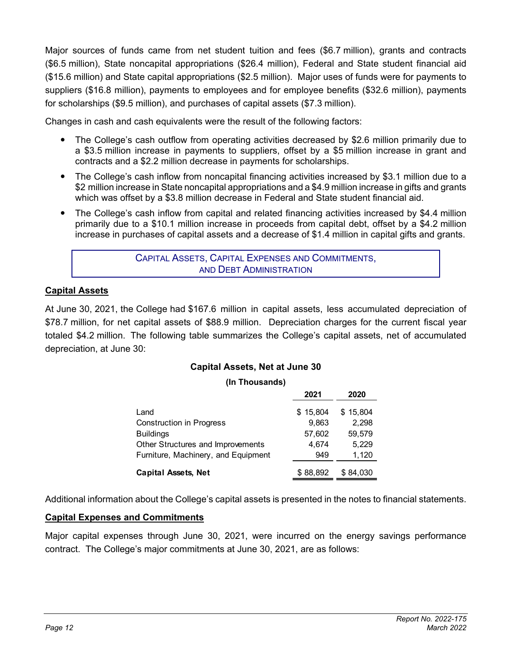Major sources of funds came from net student tuition and fees (\$6.7 million), grants and contracts (\$6.5 million), State noncapital appropriations (\$26.4 million), Federal and State student financial aid (\$15.6 million) and State capital appropriations (\$2.5 million). Major uses of funds were for payments to suppliers (\$16.8 million), payments to employees and for employee benefits (\$32.6 million), payments for scholarships (\$9.5 million), and purchases of capital assets (\$7.3 million).

Changes in cash and cash equivalents were the result of the following factors:

- The College's cash outflow from operating activities decreased by \$2.6 million primarily due to a \$3.5 million increase in payments to suppliers, offset by a \$5 million increase in grant and contracts and a \$2.2 million decrease in payments for scholarships.
- The College's cash inflow from noncapital financing activities increased by \$3.1 million due to a \$2 million increase in State noncapital appropriations and a \$4.9 million increase in gifts and grants which was offset by a \$3.8 million decrease in Federal and State student financial aid.
- The College's cash inflow from capital and related financing activities increased by \$4.4 million primarily due to a \$10.1 million increase in proceeds from capital debt, offset by a \$4.2 million increase in purchases of capital assets and a decrease of \$1.4 million in capital gifts and grants.

### CAPITAL ASSETS, CAPITAL EXPENSES AND COMMITMENTS, AND DEBT ADMINISTRATION

### **Capital Assets**

At June 30, 2021, the College had \$167.6 million in capital assets, less accumulated depreciation of \$78.7 million, for net capital assets of \$88.9 million. Depreciation charges for the current fiscal year totaled \$4.2 million. The following table summarizes the College's capital assets, net of accumulated depreciation, at June 30:

### **Capital Assets, Net at June 30**

# **(In Thousands)**

|                                     | 2021     | 2020     |
|-------------------------------------|----------|----------|
| Land                                | \$15,804 | \$15,804 |
| <b>Construction in Progress</b>     | 9,863    | 2,298    |
| <b>Buildings</b>                    | 57,602   | 59,579   |
| Other Structures and Improvements   | 4,674    | 5,229    |
| Furniture, Machinery, and Equipment | 949      | 1,120    |
| <b>Capital Assets, Net</b>          | \$88,892 | \$84,030 |

Additional information about the College's capital assets is presented in the notes to financial statements.

### **Capital Expenses and Commitments**

Major capital expenses through June 30, 2021, were incurred on the energy savings performance contract. The College's major commitments at June 30, 2021, are as follows: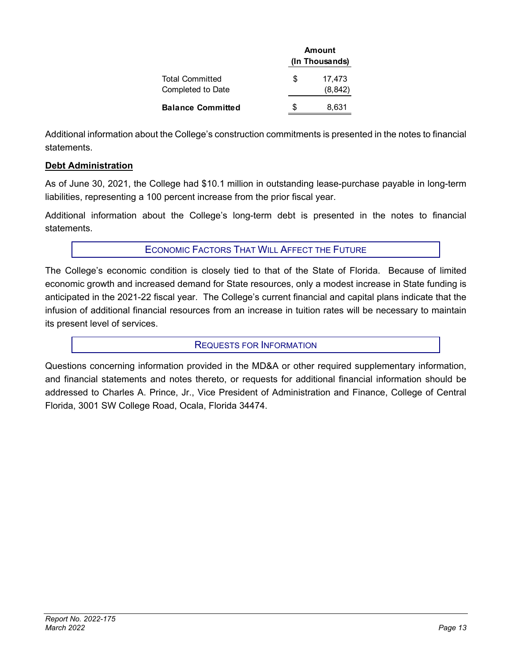|                          | Amount<br>(In Thousands) |  |  |  |
|--------------------------|--------------------------|--|--|--|
| <b>Total Committed</b>   | \$<br>17.473             |  |  |  |
| Completed to Date        | (8, 842)                 |  |  |  |
| <b>Balance Committed</b> | \$<br>8,631              |  |  |  |

Additional information about the College's construction commitments is presented in the notes to financial statements.

### **Debt Administration**

As of June 30, 2021, the College had \$10.1 million in outstanding lease-purchase payable in long-term liabilities, representing a 100 percent increase from the prior fiscal year.

Additional information about the College's long-term debt is presented in the notes to financial statements.

### ECONOMIC FACTORS THAT WILL AFFECT THE FUTURE

The College's economic condition is closely tied to that of the State of Florida. Because of limited economic growth and increased demand for State resources, only a modest increase in State funding is anticipated in the 2021-22 fiscal year. The College's current financial and capital plans indicate that the infusion of additional financial resources from an increase in tuition rates will be necessary to maintain its present level of services.

### REQUESTS FOR INFORMATION

Questions concerning information provided in the MD&A or other required supplementary information, and financial statements and notes thereto, or requests for additional financial information should be addressed to Charles A. Prince, Jr., Vice President of Administration and Finance, College of Central Florida, 3001 SW College Road, Ocala, Florida 34474.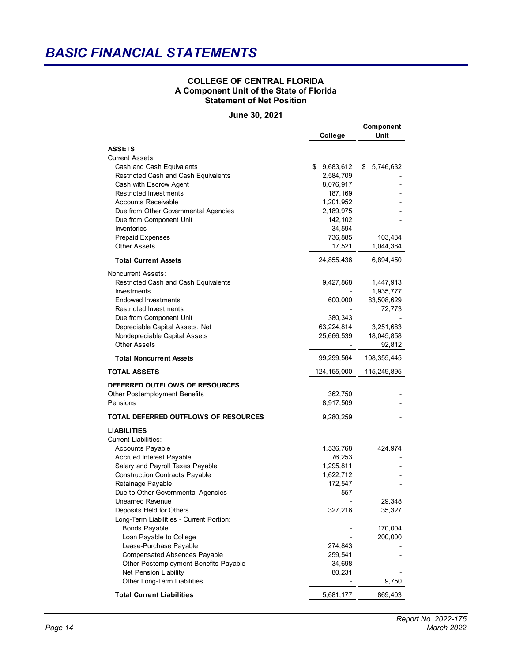## <span id="page-18-0"></span>*BASIC FINANCIAL STATEMENTS*

### **COLLEGE OF CENTRAL FLORIDA A Component Unit of the State of Florida Statement of Net Position**

### **June 30, 2021**

|                                                                      | College           | Component<br>Unit |
|----------------------------------------------------------------------|-------------------|-------------------|
| <b>ASSETS</b>                                                        |                   |                   |
| <b>Current Assets:</b>                                               |                   |                   |
| Cash and Cash Equivalents                                            | \$ 9,683,612      | \$<br>5,746,632   |
| Restricted Cash and Cash Equivalents                                 | 2,584,709         |                   |
| Cash with Escrow Agent                                               | 8,076,917         |                   |
| <b>Restricted Investments</b>                                        | 187,169           |                   |
| <b>Accounts Receivable</b>                                           | 1,201,952         |                   |
| Due from Other Governmental Agencies                                 | 2,189,975         |                   |
| Due from Component Unit<br>Inventories                               | 142,102           |                   |
| <b>Prepaid Expenses</b>                                              | 34,594<br>736,885 | 103,434           |
| <b>Other Assets</b>                                                  | 17,521            | 1,044,384         |
| <b>Total Current Assets</b>                                          | 24,855,436        | 6,894,450         |
| <b>Noncurrent Assets:</b>                                            |                   |                   |
| Restricted Cash and Cash Equivalents                                 | 9,427,868         | 1,447,913         |
| <b>Investments</b>                                                   |                   | 1,935,777         |
| <b>Endowed Investments</b>                                           | 600,000           | 83,508,629        |
| <b>Restricted Investments</b>                                        |                   | 72,773            |
| Due from Component Unit                                              | 380,343           |                   |
| Depreciable Capital Assets, Net                                      | 63,224,814        | 3,251,683         |
| Nondepreciable Capital Assets                                        | 25,666,539        | 18,045,858        |
| <b>Other Assets</b>                                                  |                   | 92,812            |
| <b>Total Noncurrent Assets</b>                                       | 99,299,564        | 108,355,445       |
| <b>TOTAL ASSETS</b>                                                  | 124, 155, 000     | 115,249,895       |
| DEFERRED OUTFLOWS OF RESOURCES                                       |                   |                   |
| <b>Other Postemployment Benefits</b>                                 | 362,750           |                   |
| Pensions                                                             | 8,917,509         |                   |
| TOTAL DEFERRED OUTFLOWS OF RESOURCES                                 | 9,280,259         |                   |
| <b>LIABILITIES</b>                                                   |                   |                   |
| <b>Current Liabilities:</b>                                          |                   |                   |
| <b>Accounts Payable</b>                                              | 1,536,768         | 424,974           |
| Accrued Interest Payable                                             | 76,253            |                   |
| Salary and Payroll Taxes Payable                                     | 1,295,811         |                   |
| <b>Construction Contracts Payable</b>                                | 1,622,712         |                   |
| Retainage Payable                                                    | 172,547           |                   |
| Due to Other Governmental Agencies                                   | 557               |                   |
| <b>Unearned Revenue</b>                                              |                   | 29,348            |
| Deposits Held for Others<br>Long-Term Liabilities - Current Portion: | 327,216           | 35,327            |
| <b>Bonds Payable</b>                                                 |                   | 170,004           |
| Loan Payable to College                                              |                   | 200,000           |
| Lease-Purchase Payable                                               | 274,843           |                   |
| Compensated Absences Payable                                         | 259,541           |                   |
| Other Postemployment Benefits Payable                                | 34,698            |                   |
| Net Pension Liability                                                | 80,231            |                   |
| Other Long-Term Liabilities                                          |                   | 9,750             |
| <b>Total Current Liabilities</b>                                     | 5,681,177         | 869,403           |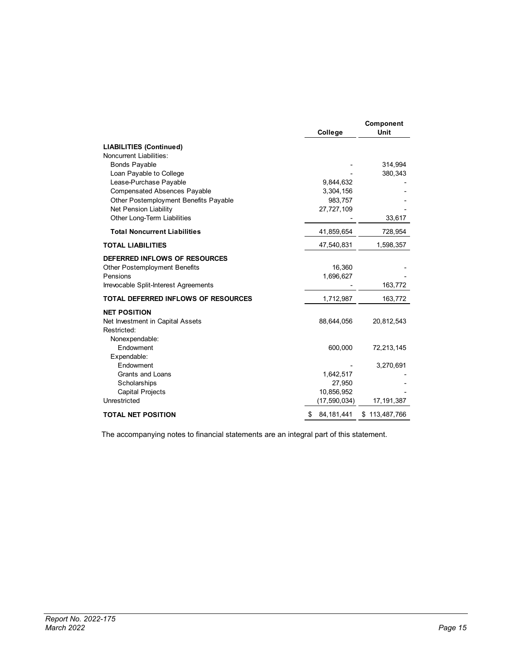|                                            |                    | Component     |
|--------------------------------------------|--------------------|---------------|
|                                            | College            | Unit          |
| <b>LIABILITIES (Continued)</b>             |                    |               |
| Noncurrent Liabilities:                    |                    |               |
| <b>Bonds Payable</b>                       |                    | 314,994       |
| Loan Payable to College                    |                    | 380,343       |
| Lease-Purchase Payable                     | 9.844.632          |               |
| <b>Compensated Absences Payable</b>        | 3,304,156          |               |
| Other Postemployment Benefits Payable      | 983,757            |               |
| Net Pension Liability                      | 27,727,109         |               |
| Other Long-Term Liabilities                |                    | 33,617        |
| <b>Total Noncurrent Liabilities</b>        | 41,859,654         | 728,954       |
| <b>TOTAL LIABILITIES</b>                   | 47,540,831         | 1,598,357     |
| DEFERRED INFLOWS OF RESOURCES              |                    |               |
| <b>Other Postemployment Benefits</b>       | 16,360             |               |
| Pensions                                   | 1,696,627          |               |
| Irrevocable Split-Interest Agreements      |                    | 163,772       |
| <b>TOTAL DEFERRED INFLOWS OF RESOURCES</b> | 1,712,987          | 163,772       |
| <b>NET POSITION</b>                        |                    |               |
| Net Investment in Capital Assets           | 88,644,056         | 20,812,543    |
| Restricted:                                |                    |               |
| Nonexpendable:                             |                    |               |
| Endowment                                  | 600,000            | 72,213,145    |
| Expendable:                                |                    |               |
| Endowment                                  |                    | 3,270,691     |
| Grants and Loans                           | 1,642,517          |               |
| Scholarships                               | 27,950             |               |
| <b>Capital Projects</b>                    | 10,856,952         |               |
| Unrestricted                               | (17, 590, 034)     | 17, 191, 387  |
| <b>TOTAL NET POSITION</b>                  | \$<br>84, 181, 441 | \$113,487,766 |

The accompanying notes to financial statements are an integral part of this statement.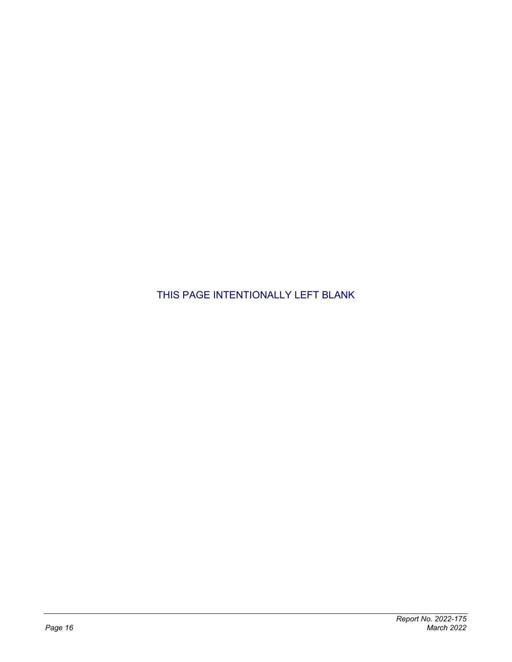THIS PAGE INTENTIONALLY LEFT BLANK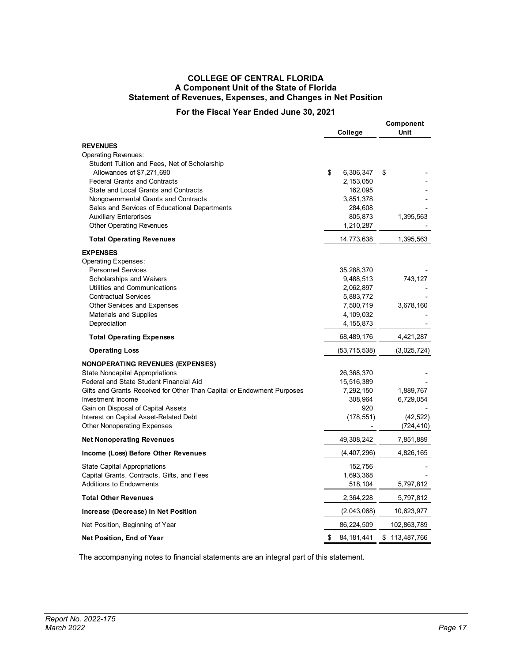### **COLLEGE OF CENTRAL FLORIDA A Component Unit of the State of Florida Statement of Revenues, Expenses, and Changes in Net Position**

### **For the Fiscal Year Ended June 30, 2021**

<span id="page-21-0"></span>

|                                                                        |                    | Component     |
|------------------------------------------------------------------------|--------------------|---------------|
|                                                                        | College            | Unit          |
| <b>REVENUES</b>                                                        |                    |               |
| <b>Operating Revenues:</b>                                             |                    |               |
| Student Tuition and Fees, Net of Scholarship                           |                    |               |
| Allowances of \$7,271,690                                              | \$<br>6,306,347    | \$            |
| <b>Federal Grants and Contracts</b>                                    | 2,153,050          |               |
| State and Local Grants and Contracts                                   | 162,095            |               |
| Nongovernmental Grants and Contracts                                   | 3,851,378          |               |
| Sales and Services of Educational Departments                          | 284,608            |               |
| <b>Auxiliary Enterprises</b>                                           | 805,873            | 1,395,563     |
| <b>Other Operating Revenues</b>                                        | 1,210,287          |               |
| <b>Total Operating Revenues</b>                                        | 14,773,638         | 1,395,563     |
| <b>EXPENSES</b>                                                        |                    |               |
| <b>Operating Expenses:</b>                                             |                    |               |
| <b>Personnel Services</b>                                              | 35,288,370         |               |
| Scholarships and Waivers                                               | 9,488,513          | 743,127       |
| Utilities and Communications                                           | 2,062,897          |               |
| <b>Contractual Services</b>                                            | 5,883,772          |               |
| Other Services and Expenses                                            | 7,500,719          | 3,678,160     |
| <b>Materials and Supplies</b>                                          | 4,109,032          |               |
| Depreciation                                                           | 4,155,873          |               |
| <b>Total Operating Expenses</b>                                        | 68,489,176         | 4,421,287     |
| <b>Operating Loss</b>                                                  | (53,715,538)       | (3,025,724)   |
| <b>NONOPERATING REVENUES (EXPENSES)</b>                                |                    |               |
| <b>State Noncapital Appropriations</b>                                 | 26,368,370         |               |
| Federal and State Student Financial Aid                                | 15,516,389         |               |
| Gifts and Grants Received for Other Than Capital or Endowment Purposes | 7,292,150          | 1,889,767     |
| Investment Income                                                      | 308,964            | 6,729,054     |
| Gain on Disposal of Capital Assets                                     | 920                |               |
| Interest on Capital Asset-Related Debt                                 | (178, 551)         | (42, 522)     |
| <b>Other Nonoperating Expenses</b>                                     |                    | (724, 410)    |
| <b>Net Nonoperating Revenues</b>                                       | 49,308,242         | 7,851,889     |
| Income (Loss) Before Other Revenues                                    | (4,407,296)        | 4,826,165     |
| State Capital Appropriations                                           | 152,756            |               |
| Capital Grants, Contracts, Gifts, and Fees                             | 1,693,368          |               |
| <b>Additions to Endowments</b>                                         | 518,104            | 5,797,812     |
| <b>Total Other Revenues</b>                                            | 2,364,228          | 5,797,812     |
| Increase (Decrease) in Net Position                                    | (2,043,068)        | 10,623,977    |
| Net Position, Beginning of Year                                        | 86,224,509         | 102,863,789   |
| <b>Net Position, End of Year</b>                                       | \$<br>84, 181, 441 | \$113,487,766 |

The accompanying notes to financial statements are an integral part of this statement.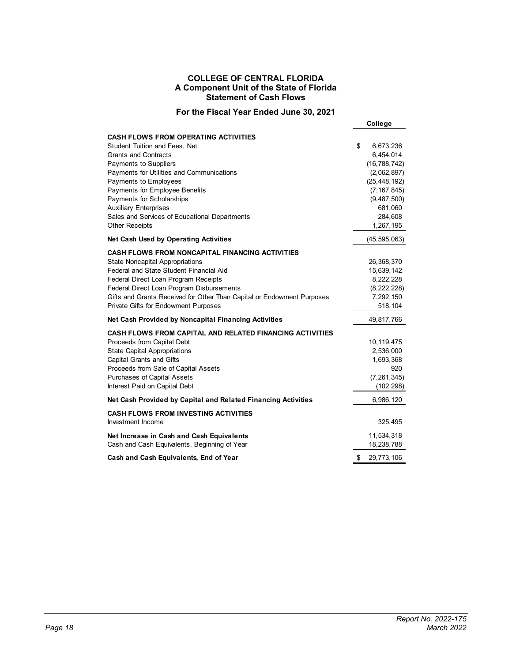### **COLLEGE OF CENTRAL FLORIDA A Component Unit of the State of Florida Statement of Cash Flows**

### **For the Fiscal Year Ended June 30, 2021**

<span id="page-22-0"></span>

|                                                                                                                                                                                                                                                                                                                                                            | College                                                                                                                               |
|------------------------------------------------------------------------------------------------------------------------------------------------------------------------------------------------------------------------------------------------------------------------------------------------------------------------------------------------------------|---------------------------------------------------------------------------------------------------------------------------------------|
| <b>CASH FLOWS FROM OPERATING ACTIVITIES</b><br>Student Tuition and Fees, Net<br><b>Grants and Contracts</b><br>Payments to Suppliers<br>Payments for Utilities and Communications<br>Payments to Employees<br>Payments for Employee Benefits<br>Payments for Scholarships<br><b>Auxiliary Enterprises</b><br>Sales and Services of Educational Departments | \$<br>6,673,236<br>6,454,014<br>(16, 788, 742)<br>(2,062,897)<br>(25, 448, 192)<br>(7, 167, 845)<br>(9,487,500)<br>681,060<br>284,608 |
| <b>Other Receipts</b>                                                                                                                                                                                                                                                                                                                                      | 1,267,195                                                                                                                             |
| Net Cash Used by Operating Activities                                                                                                                                                                                                                                                                                                                      | (45, 595, 063)                                                                                                                        |
| <b>CASH FLOWS FROM NONCAPITAL FINANCING ACTIVITIES</b><br><b>State Noncapital Appropriations</b><br>Federal and State Student Financial Aid<br>Federal Direct Loan Program Receipts<br>Federal Direct Loan Program Disbursements<br>Gifts and Grants Received for Other Than Capital or Endowment Purposes<br>Private Gifts for Endowment Purposes         | 26,368,370<br>15,639,142<br>8,222,228<br>(8,222,228)<br>7,292,150<br>518,104                                                          |
| Net Cash Provided by Noncapital Financing Activities                                                                                                                                                                                                                                                                                                       | 49,817,766                                                                                                                            |
| CASH FLOWS FROM CAPITAL AND RELATED FINANCING ACTIVITIES<br>Proceeds from Capital Debt<br><b>State Capital Appropriations</b><br>Capital Grants and Gifts<br>Proceeds from Sale of Capital Assets<br><b>Purchases of Capital Assets</b><br>Interest Paid on Capital Debt                                                                                   | 10,119,475<br>2,536,000<br>1,693,368<br>920<br>(7, 261, 345)<br>(102, 298)                                                            |
| Net Cash Provided by Capital and Related Financing Activities                                                                                                                                                                                                                                                                                              | 6,986,120                                                                                                                             |
| <b>CASH FLOWS FROM INVESTING ACTIVITIES</b><br>Investment Income                                                                                                                                                                                                                                                                                           | 325,495                                                                                                                               |
| Net Increase in Cash and Cash Equivalents<br>Cash and Cash Equivalents, Beginning of Year                                                                                                                                                                                                                                                                  | 11,534,318<br>18,238,788                                                                                                              |
| Cash and Cash Equivalents, End of Year                                                                                                                                                                                                                                                                                                                     | \$<br>29,773,106                                                                                                                      |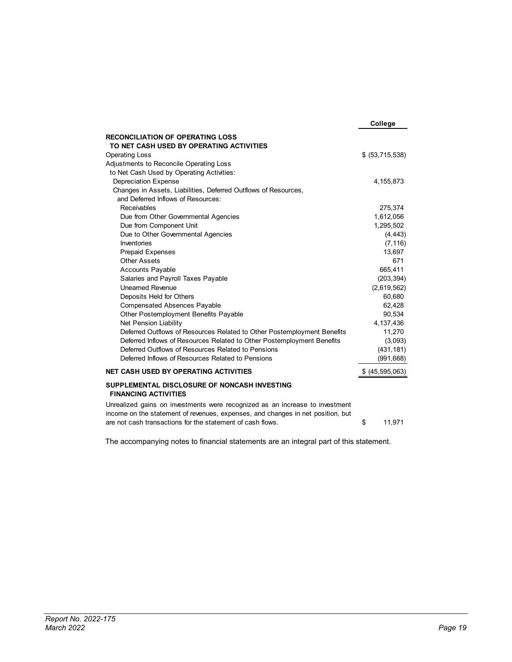|                                                                                 | College           |
|---------------------------------------------------------------------------------|-------------------|
| <b>RECONCILIATION OF OPERATING LOSS</b>                                         |                   |
| TO NET CASH USED BY OPERATING ACTIVITIES                                        |                   |
| <b>Operating Loss</b>                                                           | \$ (53, 715, 538) |
| Adjustments to Reconcile Operating Loss                                         |                   |
| to Net Cash Used by Operating Activities:                                       |                   |
| <b>Depreciation Expense</b>                                                     | 4,155,873         |
| Changes in Assets, Liabilities, Deferred Outflows of Resources,                 |                   |
| and Deferred Inflows of Resources:                                              |                   |
| Receivables                                                                     | 275,374           |
| Due from Other Governmental Agencies                                            | 1,612,056         |
| Due from Component Unit                                                         | 1,295,502         |
| Due to Other Governmental Agencies                                              | (4, 443)          |
| Inventories                                                                     | (7, 116)          |
| Prepaid Expenses                                                                | 13,697            |
| <b>Other Assets</b>                                                             | 671               |
| <b>Accounts Payable</b>                                                         | 665,411           |
| Salaries and Payroll Taxes Payable                                              | (203, 394)        |
| <b>Uneamed Revenue</b>                                                          | (2,619,562)       |
| Deposits Held for Others                                                        | 60,680            |
| <b>Compensated Absences Payable</b>                                             | 62,428            |
| Other Postemployment Benefits Payable                                           | 90,534            |
| Net Pension Liability                                                           | 4,137,436         |
| Deferred Outflows of Resources Related to Other Postemployment Benefits         | 11,270            |
| Deferred Inflows of Resources Related to Other Postemployment Benefits          | (3,093)           |
| Deferred Outflows of Resources Related to Pensions                              | (431, 181)        |
| Deferred Inflows of Resources Related to Pensions                               | (991, 668)        |
| <b>NET CASH USED BY OPERATING ACTIVITIES</b>                                    | \$ (45,595,063)   |
| SUPPLEMENTAL DISCLOSURE OF NONCASH INVESTING<br><b>FINANCING ACTIVITIES</b>     |                   |
| Unrealized gains on investments were recognized as an increase to investment    |                   |
| income on the statement of revenues, expenses, and changes in net position, but |                   |
| are not cash transactions for the statement of cash flows.                      | \$<br>11,971      |

The accompanying notes to financial statements are an integral part of this statement.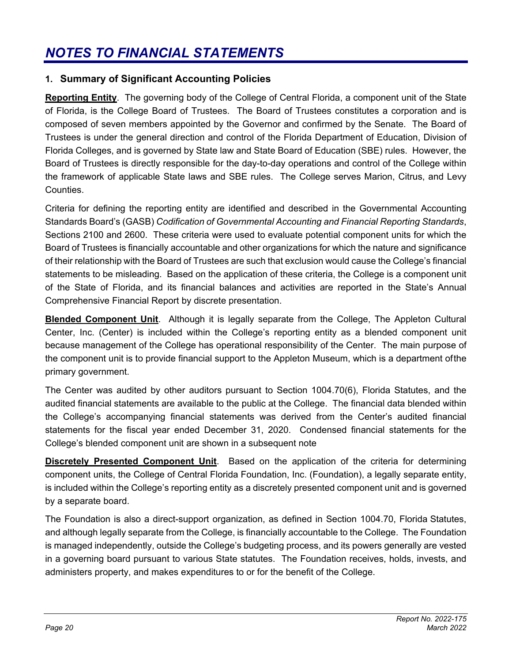# <span id="page-24-0"></span>*NOTES TO FINANCIAL STATEMENTS*

### **1. Summary of Significant Accounting Policies**

**Reporting Entity**. The governing body of the College of Central Florida, a component unit of the State of Florida, is the College Board of Trustees. The Board of Trustees constitutes a corporation and is composed of seven members appointed by the Governor and confirmed by the Senate. The Board of Trustees is under the general direction and control of the Florida Department of Education, Division of Florida Colleges, and is governed by State law and State Board of Education (SBE) rules. However, the Board of Trustees is directly responsible for the day-to-day operations and control of the College within the framework of applicable State laws and SBE rules. The College serves Marion, Citrus, and Levy Counties.

Criteria for defining the reporting entity are identified and described in the Governmental Accounting Standards Board's (GASB) *Codification of Governmental Accounting and Financial Reporting Standards*, Sections 2100 and 2600. These criteria were used to evaluate potential component units for which the Board of Trustees is financially accountable and other organizations for which the nature and significance of their relationship with the Board of Trustees are such that exclusion would cause the College's financial statements to be misleading. Based on the application of these criteria, the College is a component unit of the State of Florida, and its financial balances and activities are reported in the State's Annual Comprehensive Financial Report by discrete presentation.

**Blended Component Unit**. Although it is legally separate from the College, The Appleton Cultural Center, Inc. (Center) is included within the College's reporting entity as a blended component unit because management of the College has operational responsibility of the Center. The main purpose of the component unit is to provide financial support to the Appleton Museum, which is a department of the primary government.

The Center was audited by other auditors pursuant to Section 1004.70(6), Florida Statutes, and the audited financial statements are available to the public at the College. The financial data blended within the College's accompanying financial statements was derived from the Center's audited financial statements for the fiscal year ended December 31, 2020. Condensed financial statements for the College's blended component unit are shown in a subsequent note

**Discretely Presented Component Unit**. Based on the application of the criteria for determining component units, the College of Central Florida Foundation, Inc. (Foundation), a legally separate entity, is included within the College's reporting entity as a discretely presented component unit and is governed by a separate board.

The Foundation is also a direct-support organization, as defined in Section 1004.70, Florida Statutes, and although legally separate from the College, is financially accountable to the College. The Foundation is managed independently, outside the College's budgeting process, and its powers generally are vested in a governing board pursuant to various State statutes. The Foundation receives, holds, invests, and administers property, and makes expenditures to or for the benefit of the College.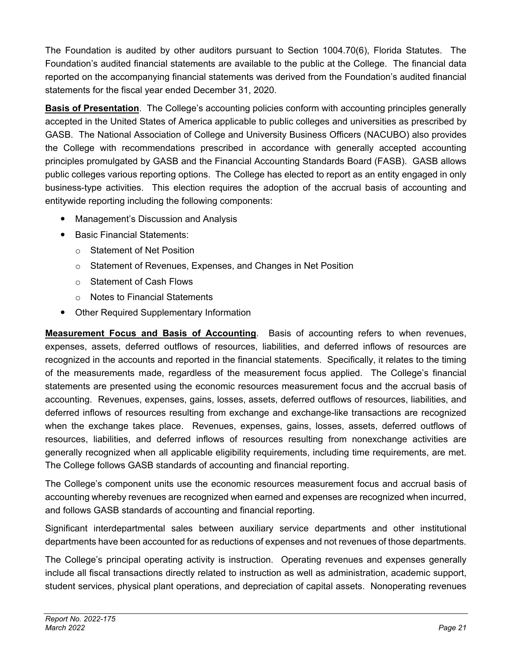The Foundation is audited by other auditors pursuant to Section 1004.70(6), Florida Statutes. The Foundation's audited financial statements are available to the public at the College. The financial data reported on the accompanying financial statements was derived from the Foundation's audited financial statements for the fiscal year ended December 31, 2020.

**Basis of Presentation**. The College's accounting policies conform with accounting principles generally accepted in the United States of America applicable to public colleges and universities as prescribed by GASB. The National Association of College and University Business Officers (NACUBO) also provides the College with recommendations prescribed in accordance with generally accepted accounting principles promulgated by GASB and the Financial Accounting Standards Board (FASB). GASB allows public colleges various reporting options. The College has elected to report as an entity engaged in only business-type activities. This election requires the adoption of the accrual basis of accounting and entitywide reporting including the following components:

- Management's Discussion and Analysis
- Basic Financial Statements:
	- o Statement of Net Position
	- o Statement of Revenues, Expenses, and Changes in Net Position
	- o Statement of Cash Flows
	- o Notes to Financial Statements
- Other Required Supplementary Information

**Measurement Focus and Basis of Accounting**. Basis of accounting refers to when revenues, expenses, assets, deferred outflows of resources, liabilities, and deferred inflows of resources are recognized in the accounts and reported in the financial statements. Specifically, it relates to the timing of the measurements made, regardless of the measurement focus applied. The College's financial statements are presented using the economic resources measurement focus and the accrual basis of accounting. Revenues, expenses, gains, losses, assets, deferred outflows of resources, liabilities, and deferred inflows of resources resulting from exchange and exchange-like transactions are recognized when the exchange takes place. Revenues, expenses, gains, losses, assets, deferred outflows of resources, liabilities, and deferred inflows of resources resulting from nonexchange activities are generally recognized when all applicable eligibility requirements, including time requirements, are met. The College follows GASB standards of accounting and financial reporting.

The College's component units use the economic resources measurement focus and accrual basis of accounting whereby revenues are recognized when earned and expenses are recognized when incurred, and follows GASB standards of accounting and financial reporting.

Significant interdepartmental sales between auxiliary service departments and other institutional departments have been accounted for as reductions of expenses and not revenues of those departments.

The College's principal operating activity is instruction. Operating revenues and expenses generally include all fiscal transactions directly related to instruction as well as administration, academic support, student services, physical plant operations, and depreciation of capital assets. Nonoperating revenues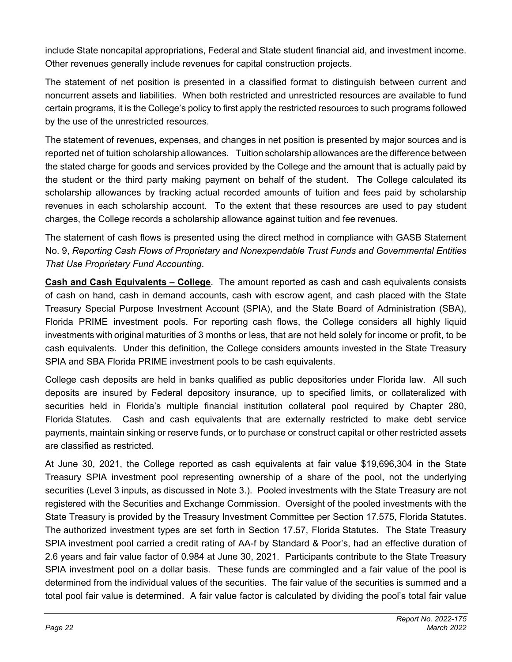include State noncapital appropriations, Federal and State student financial aid, and investment income. Other revenues generally include revenues for capital construction projects.

The statement of net position is presented in a classified format to distinguish between current and noncurrent assets and liabilities. When both restricted and unrestricted resources are available to fund certain programs, it is the College's policy to first apply the restricted resources to such programs followed by the use of the unrestricted resources.

The statement of revenues, expenses, and changes in net position is presented by major sources and is reported net of tuition scholarship allowances. Tuition scholarship allowances are the difference between the stated charge for goods and services provided by the College and the amount that is actually paid by the student or the third party making payment on behalf of the student. The College calculated its scholarship allowances by tracking actual recorded amounts of tuition and fees paid by scholarship revenues in each scholarship account. To the extent that these resources are used to pay student charges, the College records a scholarship allowance against tuition and fee revenues.

The statement of cash flows is presented using the direct method in compliance with GASB Statement No. 9, *Reporting Cash Flows of Proprietary and Nonexpendable Trust Funds and Governmental Entities That Use Proprietary Fund Accounting*.

**Cash and Cash Equivalents – College**. The amount reported as cash and cash equivalents consists of cash on hand, cash in demand accounts, cash with escrow agent, and cash placed with the State Treasury Special Purpose Investment Account (SPIA), and the State Board of Administration (SBA), Florida PRIME investment pools. For reporting cash flows, the College considers all highly liquid investments with original maturities of 3 months or less, that are not held solely for income or profit, to be cash equivalents. Under this definition, the College considers amounts invested in the State Treasury SPIA and SBA Florida PRIME investment pools to be cash equivalents.

College cash deposits are held in banks qualified as public depositories under Florida law. All such deposits are insured by Federal depository insurance, up to specified limits, or collateralized with securities held in Florida's multiple financial institution collateral pool required by Chapter 280, Florida Statutes. Cash and cash equivalents that are externally restricted to make debt service payments, maintain sinking or reserve funds, or to purchase or construct capital or other restricted assets are classified as restricted.

At June 30, 2021, the College reported as cash equivalents at fair value \$19,696,304 in the State Treasury SPIA investment pool representing ownership of a share of the pool, not the underlying securities (Level 3 inputs, as discussed in Note 3.). Pooled investments with the State Treasury are not registered with the Securities and Exchange Commission. Oversight of the pooled investments with the State Treasury is provided by the Treasury Investment Committee per Section 17.575, Florida Statutes. The authorized investment types are set forth in Section 17.57, Florida Statutes. The State Treasury SPIA investment pool carried a credit rating of AA-f by Standard & Poor's, had an effective duration of 2.6 years and fair value factor of 0.984 at June 30, 2021. Participants contribute to the State Treasury SPIA investment pool on a dollar basis. These funds are commingled and a fair value of the pool is determined from the individual values of the securities. The fair value of the securities is summed and a total pool fair value is determined. A fair value factor is calculated by dividing the pool's total fair value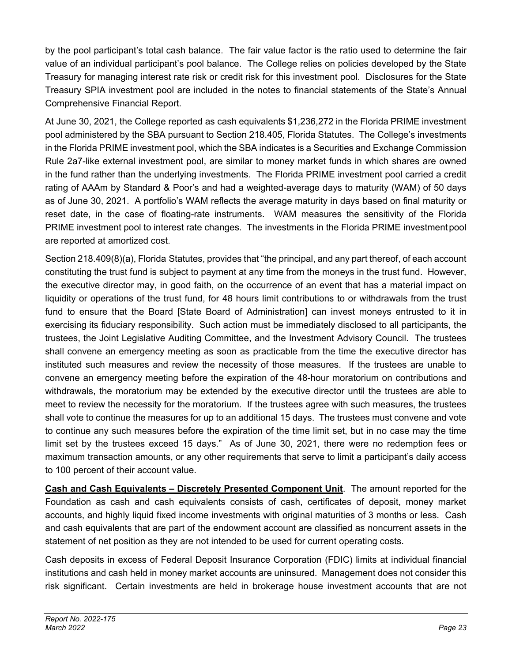by the pool participant's total cash balance. The fair value factor is the ratio used to determine the fair value of an individual participant's pool balance. The College relies on policies developed by the State Treasury for managing interest rate risk or credit risk for this investment pool. Disclosures for the State Treasury SPIA investment pool are included in the notes to financial statements of the State's Annual Comprehensive Financial Report.

At June 30, 2021, the College reported as cash equivalents \$1,236,272 in the Florida PRIME investment pool administered by the SBA pursuant to Section 218.405, Florida Statutes. The College's investments in the Florida PRIME investment pool, which the SBA indicates is a Securities and Exchange Commission Rule 2a7-like external investment pool, are similar to money market funds in which shares are owned in the fund rather than the underlying investments. The Florida PRIME investment pool carried a credit rating of AAAm by Standard & Poor's and had a weighted-average days to maturity (WAM) of 50 days as of June 30, 2021. A portfolio's WAM reflects the average maturity in days based on final maturity or reset date, in the case of floating-rate instruments. WAM measures the sensitivity of the Florida PRIME investment pool to interest rate changes. The investments in the Florida PRIME investment pool are reported at amortized cost.

Section 218.409(8)(a), Florida Statutes, provides that "the principal, and any part thereof, of each account constituting the trust fund is subject to payment at any time from the moneys in the trust fund. However, the executive director may, in good faith, on the occurrence of an event that has a material impact on liquidity or operations of the trust fund, for 48 hours limit contributions to or withdrawals from the trust fund to ensure that the Board [State Board of Administration] can invest moneys entrusted to it in exercising its fiduciary responsibility. Such action must be immediately disclosed to all participants, the trustees, the Joint Legislative Auditing Committee, and the Investment Advisory Council. The trustees shall convene an emergency meeting as soon as practicable from the time the executive director has instituted such measures and review the necessity of those measures. If the trustees are unable to convene an emergency meeting before the expiration of the 48-hour moratorium on contributions and withdrawals, the moratorium may be extended by the executive director until the trustees are able to meet to review the necessity for the moratorium. If the trustees agree with such measures, the trustees shall vote to continue the measures for up to an additional 15 days. The trustees must convene and vote to continue any such measures before the expiration of the time limit set, but in no case may the time limit set by the trustees exceed 15 days." As of June 30, 2021, there were no redemption fees or maximum transaction amounts, or any other requirements that serve to limit a participant's daily access to 100 percent of their account value.

**Cash and Cash Equivalents – Discretely Presented Component Unit**. The amount reported for the Foundation as cash and cash equivalents consists of cash, certificates of deposit, money market accounts, and highly liquid fixed income investments with original maturities of 3 months or less. Cash and cash equivalents that are part of the endowment account are classified as noncurrent assets in the statement of net position as they are not intended to be used for current operating costs.

Cash deposits in excess of Federal Deposit Insurance Corporation (FDIC) limits at individual financial institutions and cash held in money market accounts are uninsured. Management does not consider this risk significant. Certain investments are held in brokerage house investment accounts that are not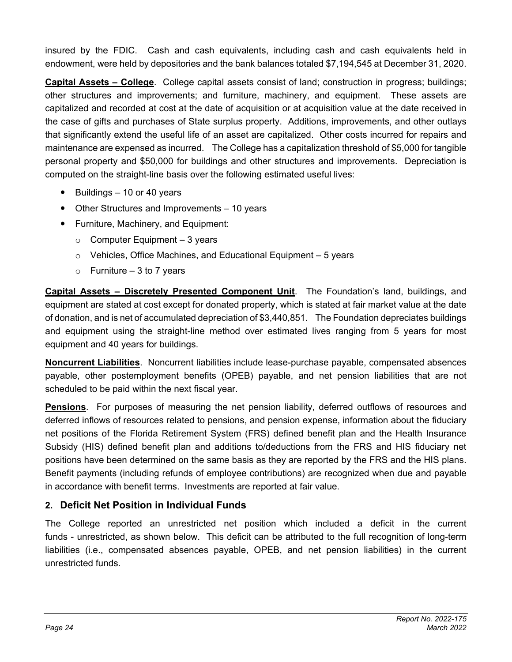insured by the FDIC. Cash and cash equivalents, including cash and cash equivalents held in endowment, were held by depositories and the bank balances totaled \$7,194,545 at December 31, 2020.

**Capital Assets – College**. College capital assets consist of land; construction in progress; buildings; other structures and improvements; and furniture, machinery, and equipment. These assets are capitalized and recorded at cost at the date of acquisition or at acquisition value at the date received in the case of gifts and purchases of State surplus property. Additions, improvements, and other outlays that significantly extend the useful life of an asset are capitalized. Other costs incurred for repairs and maintenance are expensed as incurred. The College has a capitalization threshold of \$5,000 for tangible personal property and \$50,000 for buildings and other structures and improvements. Depreciation is computed on the straight-line basis over the following estimated useful lives:

- $\bullet$  Buildings 10 or 40 years
- Other Structures and Improvements 10 years
- Furniture, Machinery, and Equipment:
	- $\circ$  Computer Equipment 3 years
	- $\circ$  Vehicles, Office Machines, and Educational Equipment 5 years
	- $\circ$  Furniture 3 to 7 years

**Capital Assets – Discretely Presented Component Unit**. The Foundation's land, buildings, and equipment are stated at cost except for donated property, which is stated at fair market value at the date of donation, and is net of accumulated depreciation of \$3,440,851. The Foundation depreciates buildings and equipment using the straight-line method over estimated lives ranging from 5 years for most equipment and 40 years for buildings.

**Noncurrent Liabilities**. Noncurrent liabilities include lease-purchase payable, compensated absences payable, other postemployment benefits (OPEB) payable, and net pension liabilities that are not scheduled to be paid within the next fiscal year.

**Pensions**. For purposes of measuring the net pension liability, deferred outflows of resources and deferred inflows of resources related to pensions, and pension expense, information about the fiduciary net positions of the Florida Retirement System (FRS) defined benefit plan and the Health Insurance Subsidy (HIS) defined benefit plan and additions to/deductions from the FRS and HIS fiduciary net positions have been determined on the same basis as they are reported by the FRS and the HIS plans. Benefit payments (including refunds of employee contributions) are recognized when due and payable in accordance with benefit terms. Investments are reported at fair value.

### **2. Deficit Net Position in Individual Funds**

The College reported an unrestricted net position which included a deficit in the current funds - unrestricted, as shown below. This deficit can be attributed to the full recognition of long-term liabilities (i.e., compensated absences payable, OPEB, and net pension liabilities) in the current unrestricted funds.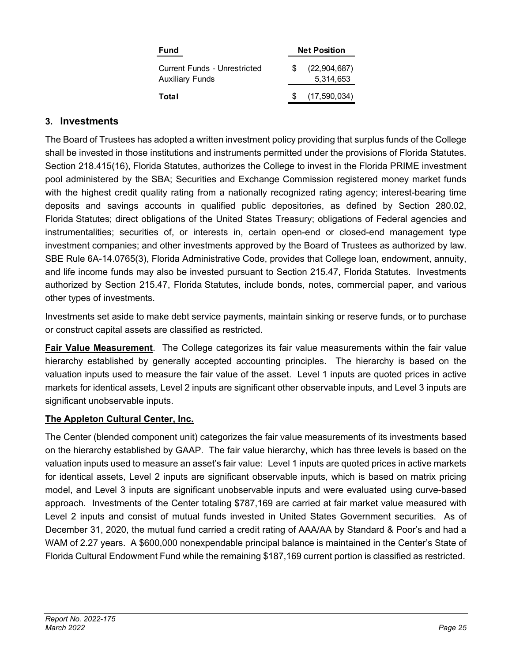| <b>Fund</b>                                                   | <b>Net Position</b> |                           |  |
|---------------------------------------------------------------|---------------------|---------------------------|--|
| <b>Current Funds - Unrestricted</b><br><b>Auxiliary Funds</b> |                     | (22,904,687)<br>5,314,653 |  |
| Total                                                         |                     | (17, 590, 034)            |  |

### **3. Investments**

The Board of Trustees has adopted a written investment policy providing that surplus funds of the College shall be invested in those institutions and instruments permitted under the provisions of Florida Statutes. Section 218.415(16), Florida Statutes, authorizes the College to invest in the Florida PRIME investment pool administered by the SBA; Securities and Exchange Commission registered money market funds with the highest credit quality rating from a nationally recognized rating agency; interest-bearing time deposits and savings accounts in qualified public depositories, as defined by Section 280.02, Florida Statutes; direct obligations of the United States Treasury; obligations of Federal agencies and instrumentalities; securities of, or interests in, certain open-end or closed-end management type investment companies; and other investments approved by the Board of Trustees as authorized by law. SBE Rule 6A-14.0765(3), Florida Administrative Code, provides that College loan, endowment, annuity, and life income funds may also be invested pursuant to Section 215.47, Florida Statutes. Investments authorized by Section 215.47, Florida Statutes, include bonds, notes, commercial paper, and various other types of investments.

Investments set aside to make debt service payments, maintain sinking or reserve funds, or to purchase or construct capital assets are classified as restricted.

**Fair Value Measurement**. The College categorizes its fair value measurements within the fair value hierarchy established by generally accepted accounting principles. The hierarchy is based on the valuation inputs used to measure the fair value of the asset. Level 1 inputs are quoted prices in active markets for identical assets, Level 2 inputs are significant other observable inputs, and Level 3 inputs are significant unobservable inputs.

### **The Appleton Cultural Center, Inc.**

The Center (blended component unit) categorizes the fair value measurements of its investments based on the hierarchy established by GAAP. The fair value hierarchy, which has three levels is based on the valuation inputs used to measure an asset's fair value: Level 1 inputs are quoted prices in active markets for identical assets, Level 2 inputs are significant observable inputs, which is based on matrix pricing model, and Level 3 inputs are significant unobservable inputs and were evaluated using curve-based approach. Investments of the Center totaling \$787,169 are carried at fair market value measured with Level 2 inputs and consist of mutual funds invested in United States Government securities. As of December 31, 2020, the mutual fund carried a credit rating of AAA/AA by Standard & Poor's and had a WAM of 2.27 years. A \$600,000 nonexpendable principal balance is maintained in the Center's State of Florida Cultural Endowment Fund while the remaining \$187,169 current portion is classified as restricted.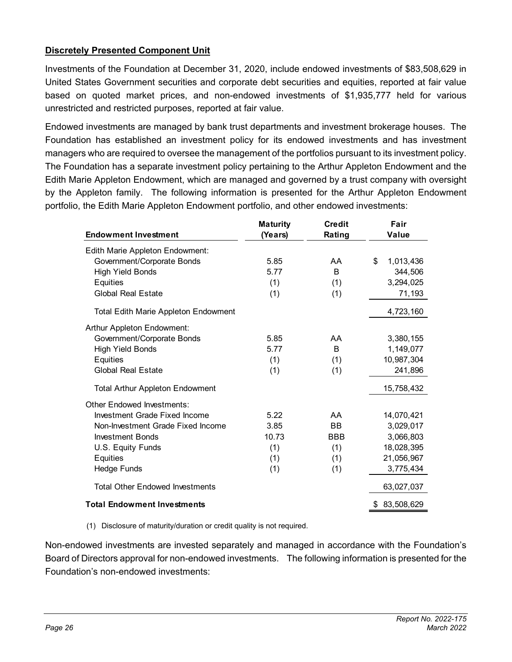### **Discretely Presented Component Unit**

Investments of the Foundation at December 31, 2020, include endowed investments of \$83,508,629 in United States Government securities and corporate debt securities and equities, reported at fair value based on quoted market prices, and non-endowed investments of \$1,935,777 held for various unrestricted and restricted purposes, reported at fair value.

Endowed investments are managed by bank trust departments and investment brokerage houses. The Foundation has established an investment policy for its endowed investments and has investment managers who are required to oversee the management of the portfolios pursuant to its investment policy. The Foundation has a separate investment policy pertaining to the Arthur Appleton Endowment and the Edith Marie Appleton Endowment, which are managed and governed by a trust company with oversight by the Appleton family. The following information is presented for the Arthur Appleton Endowment portfolio, the Edith Marie Appleton Endowment portfolio, and other endowed investments:

| <b>Endowment Investment</b>                 | <b>Maturity</b><br><b>Credit</b><br>(Years)<br>Rating |            | Fair<br><b>Value</b> |
|---------------------------------------------|-------------------------------------------------------|------------|----------------------|
| Edith Marie Appleton Endowment:             |                                                       |            |                      |
| Government/Corporate Bonds                  | 5.85                                                  | AA.        | \$<br>1,013,436      |
| <b>High Yield Bonds</b>                     | 5.77                                                  | B          | 344,506              |
| Equities                                    | (1)                                                   | (1)        | 3,294,025            |
| <b>Global Real Estate</b>                   | (1)                                                   | (1)        | 71,193               |
| <b>Total Edith Marie Appleton Endowment</b> |                                                       |            | 4,723,160            |
| Arthur Appleton Endowment:                  |                                                       |            |                      |
| Government/Corporate Bonds                  | 5.85                                                  | AA         | 3,380,155            |
| <b>High Yield Bonds</b>                     | 5.77                                                  | B          | 1,149,077            |
| <b>Equities</b>                             | (1)                                                   | (1)        | 10,987,304           |
| <b>Global Real Estate</b>                   | (1)                                                   | (1)        | 241,896              |
| <b>Total Arthur Appleton Endowment</b>      |                                                       |            | 15,758,432           |
| <b>Other Endowed Investments:</b>           |                                                       |            |                      |
| Investment Grade Fixed Income               | 5.22                                                  | AA         | 14,070,421           |
| Non-Investment Grade Fixed Income           | 3.85                                                  | <b>BB</b>  | 3,029,017            |
| <b>Investment Bonds</b>                     | 10.73                                                 | <b>BBB</b> | 3,066,803            |
| U.S. Equity Funds                           | (1)                                                   | (1)        | 18,028,395           |
| Equities                                    | (1)                                                   | (1)        | 21,056,967           |
| Hedge Funds                                 | (1)                                                   | (1)        | 3,775,434            |
| <b>Total Other Endowed Investments</b>      |                                                       |            | 63,027,037           |
| <b>Total Endowment Investments</b>          |                                                       |            | 83,508,629<br>\$     |

(1) Disclosure of maturity/duration or credit quality is not required.

Non-endowed investments are invested separately and managed in accordance with the Foundation's Board of Directors approval for non-endowed investments. The following information is presented for the Foundation's non-endowed investments: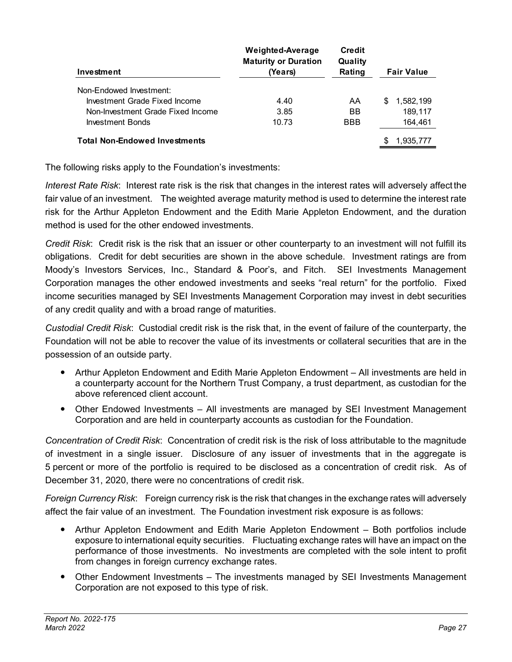| Investment                           | <b>Weighted-Average</b><br><b>Maturity or Duration</b><br>(Years) | <b>Credit</b><br>Quality<br>Rating | <b>Fair Value</b> |
|--------------------------------------|-------------------------------------------------------------------|------------------------------------|-------------------|
| Non-Endowed Investment:              |                                                                   |                                    |                   |
| Investment Grade Fixed Income        | 4.40                                                              | AA                                 | 1,582,199<br>S    |
| Non-Investment Grade Fixed Income    | 3.85                                                              | <b>BB</b>                          | 189.117           |
| Investment Bonds                     | 10.73                                                             | <b>BBB</b>                         | 164,461           |
| <b>Total Non-Endowed Investments</b> |                                                                   |                                    | 1,935,777<br>S    |

The following risks apply to the Foundation's investments:

*Interest Rate Risk*: Interest rate risk is the risk that changes in the interest rates will adversely affect the fair value of an investment. The weighted average maturity method is used to determine the interest rate risk for the Arthur Appleton Endowment and the Edith Marie Appleton Endowment, and the duration method is used for the other endowed investments.

*Credit Risk*: Credit risk is the risk that an issuer or other counterparty to an investment will not fulfill its obligations. Credit for debt securities are shown in the above schedule. Investment ratings are from Moody's Investors Services, Inc., Standard & Poor's, and Fitch. SEI Investments Management Corporation manages the other endowed investments and seeks "real return" for the portfolio. Fixed income securities managed by SEI Investments Management Corporation may invest in debt securities of any credit quality and with a broad range of maturities.

*Custodial Credit Risk*: Custodial credit risk is the risk that, in the event of failure of the counterparty, the Foundation will not be able to recover the value of its investments or collateral securities that are in the possession of an outside party.

- Arthur Appleton Endowment and Edith Marie Appleton Endowment All investments are held in a counterparty account for the Northern Trust Company, a trust department, as custodian for the above referenced client account.
- Other Endowed Investments All investments are managed by SEI Investment Management Corporation and are held in counterparty accounts as custodian for the Foundation.

*Concentration of Credit Risk*: Concentration of credit risk is the risk of loss attributable to the magnitude of investment in a single issuer. Disclosure of any issuer of investments that in the aggregate is 5 percent or more of the portfolio is required to be disclosed as a concentration of credit risk. As of December 31, 2020, there were no concentrations of credit risk.

*Foreign Currency Risk*: Foreign currency risk is the risk that changes in the exchange rates will adversely affect the fair value of an investment. The Foundation investment risk exposure is as follows:

- Arthur Appleton Endowment and Edith Marie Appleton Endowment Both portfolios include exposure to international equity securities. Fluctuating exchange rates will have an impact on the performance of those investments. No investments are completed with the sole intent to profit from changes in foreign currency exchange rates.
- Other Endowment Investments The investments managed by SEI Investments Management Corporation are not exposed to this type of risk.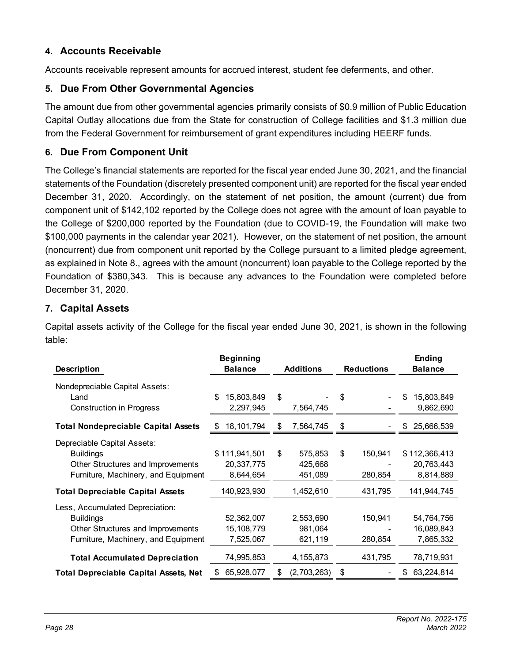### **4. Accounts Receivable**

Accounts receivable represent amounts for accrued interest, student fee deferments, and other.

### **5. Due From Other Governmental Agencies**

The amount due from other governmental agencies primarily consists of \$0.9 million of Public Education Capital Outlay allocations due from the State for construction of College facilities and \$1.3 million due from the Federal Government for reimbursement of grant expenditures including HEERF funds.

### **6. Due From Component Unit**

The College's financial statements are reported for the fiscal year ended June 30, 2021, and the financial statements of the Foundation (discretely presented component unit) are reported for the fiscal year ended December 31, 2020. Accordingly, on the statement of net position, the amount (current) due from component unit of \$142,102 reported by the College does not agree with the amount of loan payable to the College of \$200,000 reported by the Foundation (due to COVID-19, the Foundation will make two \$100,000 payments in the calendar year 2021). However, on the statement of net position, the amount (noncurrent) due from component unit reported by the College pursuant to a limited pledge agreement, as explained in Note 8., agrees with the amount (noncurrent) loan payable to the College reported by the Foundation of \$380,343. This is because any advances to the Foundation were completed before December 31, 2020.

### **7. Capital Assets**

Capital assets activity of the College for the fiscal year ended June 30, 2021, is shown in the following table:

| <b>Description</b>                           | <b>Beginning</b><br><b>Balance</b> | <b>Reductions</b> | Ending<br><b>Balance</b> |                  |
|----------------------------------------------|------------------------------------|-------------------|--------------------------|------------------|
| Nondepreciable Capital Assets:               |                                    |                   |                          |                  |
| Land                                         | \$<br>15,803,849                   | \$                | \$                       | 15,803,849<br>\$ |
| <b>Construction in Progress</b>              | 2,297,945                          | 7,564,745         |                          | 9,862,690        |
| <b>Total Nondepreciable Capital Assets</b>   | 18, 101, 794<br>\$                 | 7,564,745<br>\$   | \$                       | 25,666,539<br>S  |
| Depreciable Capital Assets:                  |                                    |                   |                          |                  |
| <b>Buildings</b>                             | \$111,941,501                      | \$<br>575,853     | \$<br>150,941            | \$112,366,413    |
| Other Structures and Improvements            | 20,337,775                         | 425,668           |                          | 20,763,443       |
| Furniture, Machinery, and Equipment          | 8,644,654                          | 451,089           | 280,854                  | 8,814,889        |
| <b>Total Depreciable Capital Assets</b>      | 140,923,930                        | 1,452,610         | 431,795                  | 141,944,745      |
| Less, Accumulated Depreciation:              |                                    |                   |                          |                  |
| <b>Buildings</b>                             | 52,362,007                         | 2,553,690         | 150,941                  | 54,764,756       |
| Other Structures and Improvements            | 15, 108, 779                       | 981,064           |                          | 16,089,843       |
| Furniture, Machinery, and Equipment          | 7,525,067                          | 621,119           | 280,854                  | 7,865,332        |
| <b>Total Accumulated Depreciation</b>        | 74,995,853                         | 4,155,873         | 431,795                  | 78,719,931       |
| <b>Total Depreciable Capital Assets, Net</b> | 65,928,077                         | (2,703,263)<br>S. | \$                       | 63,224,814       |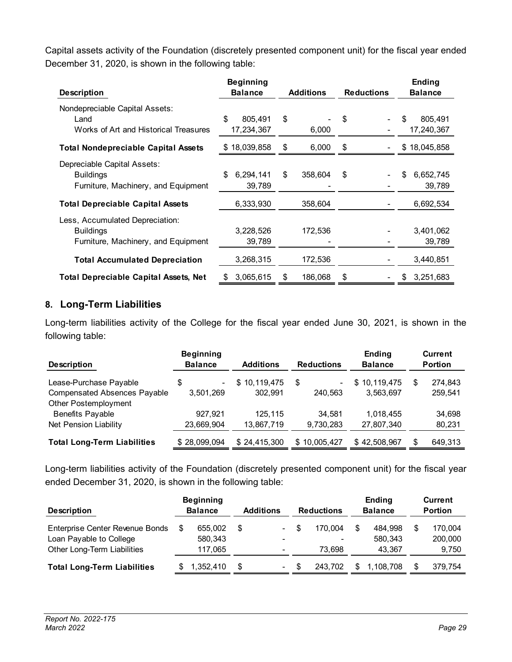Capital assets activity of the Foundation (discretely presented component unit) for the fiscal year ended December 31, 2020, is shown in the following table:

| <b>Description</b>                                                                         | <b>Beginning</b><br><b>Balance</b><br><b>Additions</b> |               | <b>Reductions</b> |                             |
|--------------------------------------------------------------------------------------------|--------------------------------------------------------|---------------|-------------------|-----------------------------|
| Nondepreciable Capital Assets:<br>Land<br>Works of Art and Historical Treasures            | \$<br>805,491<br>17,234,367                            | \$<br>6,000   | \$                | 805,491<br>\$<br>17,240,367 |
| <b>Total Nondepreciable Capital Assets</b>                                                 | \$18,039,858                                           | \$<br>6,000   | \$                | \$18,045,858                |
| Depreciable Capital Assets:<br><b>Buildings</b><br>Furniture, Machinery, and Equipment     | \$<br>6,294,141<br>39,789                              | \$<br>358,604 | \$                | \$<br>6,652,745<br>39,789   |
| <b>Total Depreciable Capital Assets</b>                                                    | 6,333,930                                              | 358,604       |                   | 6,692,534                   |
| Less, Accumulated Depreciation:<br><b>Buildings</b><br>Furniture, Machinery, and Equipment | 3,228,526<br>39,789                                    | 172,536       |                   | 3,401,062<br>39,789         |
| <b>Total Accumulated Depreciation</b>                                                      | 3,268,315                                              | 172,536       |                   | 3,440,851                   |
| <b>Total Depreciable Capital Assets, Net</b>                                               | 3,065,615<br>S                                         | 186,068<br>\$ | \$                | 3,251,683<br>\$             |

### **8. Long-Term Liabilities**

Long-term liabilities activity of the College for the fiscal year ended June 30, 2021, is shown in the following table:

| <b>Description</b>                  | <b>Beginning</b><br><b>Balance</b> | <b>Additions</b> | <b>Reductions</b> | <b>Ending</b><br><b>Balance</b> | <b>Current</b><br><b>Portion</b> |
|-------------------------------------|------------------------------------|------------------|-------------------|---------------------------------|----------------------------------|
| Lease-Purchase Payable              | \$<br>۰                            | 10,119,475<br>\$ | \$<br>-           | 10,119,475<br>\$                | \$<br>274,843                    |
| <b>Compensated Absences Payable</b> | 3,501,269                          | 302.991          | 240.563           | 3.563.697                       | 259,541                          |
| Other Postemployment                |                                    |                  |                   |                                 |                                  |
| <b>Benefits Payable</b>             | 927.921                            | 125.115          | 34.581            | 1.018.455                       | 34,698                           |
| <b>Net Pension Liability</b>        | 23,669,904                         | 13,867,719       | 9,730,283         | 27,807,340                      | 80,231                           |
| <b>Total Long-Term Liabilities</b>  | \$28,099,094                       | \$24,415,300     | \$10,005,427      | \$42,508,967                    | \$<br>649,313                    |

Long-term liabilities activity of the Foundation (discretely presented component unit) for the fiscal year ended December 31, 2020, is shown in the following table:

| <b>Description</b>                                                                        |   | <b>Beginning</b><br><b>Balance</b> | <b>Additions</b><br><b>Reductions</b> |                  |      | Ending<br><b>Balance</b>                      | <b>Current</b><br><b>Portion</b> |                              |                             |
|-------------------------------------------------------------------------------------------|---|------------------------------------|---------------------------------------|------------------|------|-----------------------------------------------|----------------------------------|------------------------------|-----------------------------|
| Enterprise Center Revenue Bonds<br>Loan Payable to College<br>Other Long-Term Liabilities | S | 655.002<br>580,343<br>117,065      | S                                     | $\sim$<br>-<br>۰ |      | 170.004<br>$\overline{\phantom{0}}$<br>73.698 |                                  | 484.998<br>580.343<br>43.367 | 170,004<br>200,000<br>9,750 |
| <b>Total Long-Term Liabilities</b>                                                        |   | 1,352,410                          | \$                                    | $\sim$           | - \$ | 243.702                                       | \$.                              | 1,108,708                    | 379,754                     |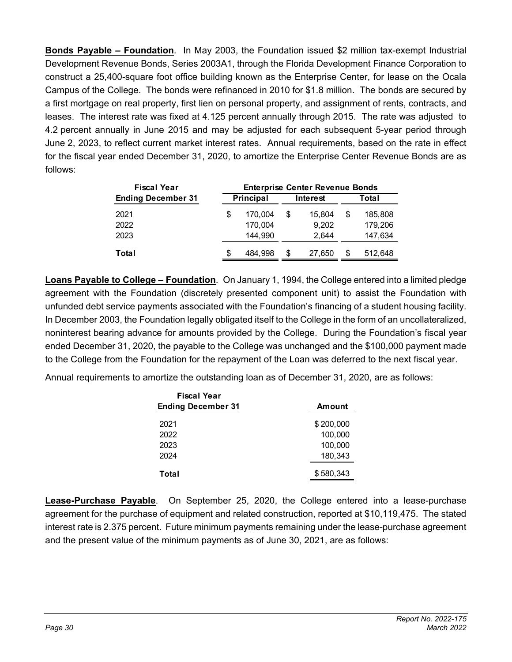**Bonds Payable – Foundation**. In May 2003, the Foundation issued \$2 million tax-exempt Industrial Development Revenue Bonds, Series 2003A1, through the Florida Development Finance Corporation to construct a 25,400-square foot office building known as the Enterprise Center, for lease on the Ocala Campus of the College. The bonds were refinanced in 2010 for \$1.8 million. The bonds are secured by a first mortgage on real property, first lien on personal property, and assignment of rents, contracts, and leases. The interest rate was fixed at 4.125 percent annually through 2015. The rate was adjusted to 4.2 percent annually in June 2015 and may be adjusted for each subsequent 5-year period through June 2, 2023, to reflect current market interest rates. Annual requirements, based on the rate in effect for the fiscal year ended December 31, 2020, to amortize the Enterprise Center Revenue Bonds are as follows:

| Fiscal Year               | <b>Enterprise Center Revenue Bonds</b> |                  |    |          |   |         |  |
|---------------------------|----------------------------------------|------------------|----|----------|---|---------|--|
| <b>Ending December 31</b> |                                        | <b>Principal</b> |    | Interest |   | Total   |  |
| 2021                      | \$                                     | 170.004          | \$ | 15,804   | S | 185,808 |  |
| 2022                      |                                        | 170,004          |    | 9,202    |   | 179,206 |  |
| 2023                      |                                        | 144.990          |    | 2.644    |   | 147,634 |  |
| <b>Total</b>              | \$                                     | 484,998          | S  | 27,650   | S | 512,648 |  |

**Loans Payable to College – Foundation**. On January 1, 1994, the College entered into a limited pledge agreement with the Foundation (discretely presented component unit) to assist the Foundation with unfunded debt service payments associated with the Foundation's financing of a student housing facility. In December 2003, the Foundation legally obligated itself to the College in the form of an uncollateralized, noninterest bearing advance for amounts provided by the College. During the Foundation's fiscal year ended December 31, 2020, the payable to the College was unchanged and the \$100,000 payment made to the College from the Foundation for the repayment of the Loan was deferred to the next fiscal year.

Annual requirements to amortize the outstanding loan as of December 31, 2020, are as follows:

| <b>Fiscal Year</b>        |               |
|---------------------------|---------------|
| <b>Ending December 31</b> | <b>Amount</b> |
| 2021                      | \$200,000     |
| 2022                      | 100.000       |
| 2023                      | 100,000       |
| 2024                      | 180,343       |
| Total                     | \$580,343     |

**Lease-Purchase Payable**. On September 25, 2020, the College entered into a lease-purchase agreement for the purchase of equipment and related construction, reported at \$10,119,475. The stated interest rate is 2.375 percent. Future minimum payments remaining under the lease-purchase agreement and the present value of the minimum payments as of June 30, 2021, are as follows: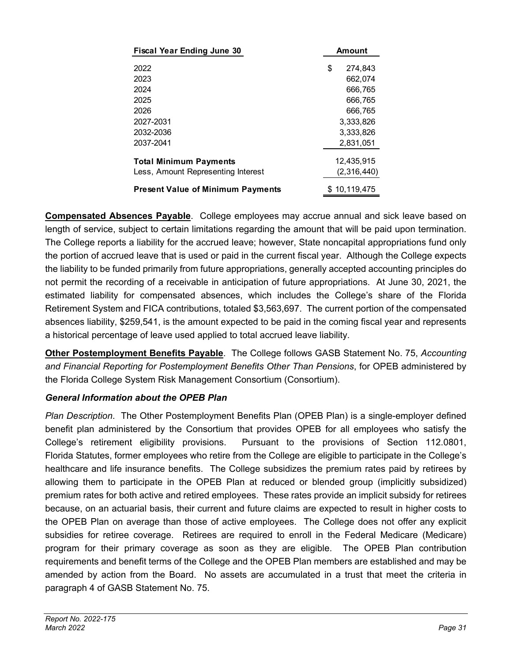| <b>Fiscal Year Ending June 30</b>        |    | <b>Amount</b> |  |  |
|------------------------------------------|----|---------------|--|--|
| 2022                                     | \$ | 274.843       |  |  |
| 2023                                     |    | 662.074       |  |  |
| 2024                                     |    | 666,765       |  |  |
| 2025                                     |    | 666,765       |  |  |
| 2026                                     |    | 666.765       |  |  |
| 2027-2031                                |    | 3,333,826     |  |  |
| 2032-2036                                |    | 3,333,826     |  |  |
| 2037-2041                                |    | 2,831,051     |  |  |
| <b>Total Minimum Payments</b>            |    | 12,435,915    |  |  |
| Less, Amount Representing Interest       |    | (2,316,440)   |  |  |
| <b>Present Value of Minimum Payments</b> |    | \$10.119.475  |  |  |

**Compensated Absences Payable**. College employees may accrue annual and sick leave based on length of service, subject to certain limitations regarding the amount that will be paid upon termination. The College reports a liability for the accrued leave; however, State noncapital appropriations fund only the portion of accrued leave that is used or paid in the current fiscal year. Although the College expects the liability to be funded primarily from future appropriations, generally accepted accounting principles do not permit the recording of a receivable in anticipation of future appropriations. At June 30, 2021, the estimated liability for compensated absences, which includes the College's share of the Florida Retirement System and FICA contributions, totaled \$3,563,697. The current portion of the compensated absences liability, \$259,541, is the amount expected to be paid in the coming fiscal year and represents a historical percentage of leave used applied to total accrued leave liability.

**Other Postemployment Benefits Payable**. The College follows GASB Statement No. 75, *Accounting and Financial Reporting for Postemployment Benefits Other Than Pensions*, for OPEB administered by the Florida College System Risk Management Consortium (Consortium).

### *General Information about the OPEB Plan*

*Plan Description*. The Other Postemployment Benefits Plan (OPEB Plan) is a single-employer defined benefit plan administered by the Consortium that provides OPEB for all employees who satisfy the College's retirement eligibility provisions. Pursuant to the provisions of Section 112.0801, Florida Statutes, former employees who retire from the College are eligible to participate in the College's healthcare and life insurance benefits. The College subsidizes the premium rates paid by retirees by allowing them to participate in the OPEB Plan at reduced or blended group (implicitly subsidized) premium rates for both active and retired employees. These rates provide an implicit subsidy for retirees because, on an actuarial basis, their current and future claims are expected to result in higher costs to the OPEB Plan on average than those of active employees. The College does not offer any explicit subsidies for retiree coverage. Retirees are required to enroll in the Federal Medicare (Medicare) program for their primary coverage as soon as they are eligible. The OPEB Plan contribution requirements and benefit terms of the College and the OPEB Plan members are established and may be amended by action from the Board. No assets are accumulated in a trust that meet the criteria in paragraph 4 of GASB Statement No. 75.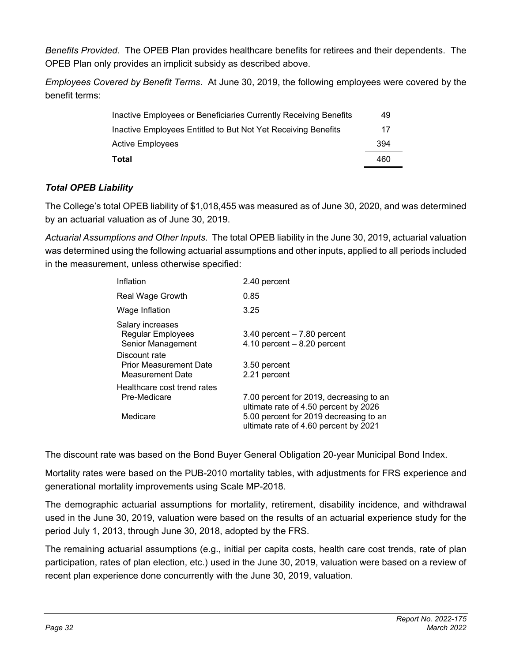*Benefits Provided*. The OPEB Plan provides healthcare benefits for retirees and their dependents. The OPEB Plan only provides an implicit subsidy as described above.

*Employees Covered by Benefit Terms*. At June 30, 2019, the following employees were covered by the benefit terms:

| Total                                                            | 460 |
|------------------------------------------------------------------|-----|
| <b>Active Employees</b>                                          | 394 |
| Inactive Employees Entitled to But Not Yet Receiving Benefits    | 17  |
| Inactive Employees or Beneficiaries Currently Receiving Benefits | 49  |

### *Total OPEB Liability*

The College's total OPEB liability of \$1,018,455 was measured as of June 30, 2020, and was determined by an actuarial valuation as of June 30, 2019.

*Actuarial Assumptions and Other Inputs*. The total OPEB liability in the June 30, 2019, actuarial valuation was determined using the following actuarial assumptions and other inputs, applied to all periods included in the measurement, unless otherwise specified:

| Inflation                                                                                 | 2.40 percent                                                                     |
|-------------------------------------------------------------------------------------------|----------------------------------------------------------------------------------|
| Real Wage Growth                                                                          | 0.85                                                                             |
| Wage Inflation                                                                            | 3.25                                                                             |
| Salary increases<br><b>Regular Employees</b><br><b>Senior Management</b><br>Discount rate | $3.40$ percent $-7.80$ percent<br>$4.10$ percent $-8.20$ percent                 |
| <b>Prior Measurement Date</b><br>Measurement Date                                         | 3.50 percent<br>2.21 percent                                                     |
| Healthcare cost trend rates<br>Pre-Medicare                                               | 7.00 percent for 2019, decreasing to an<br>ultimate rate of 4.50 percent by 2026 |
| Medicare                                                                                  | 5.00 percent for 2019 decreasing to an<br>ultimate rate of 4.60 percent by 2021  |

The discount rate was based on the Bond Buyer General Obligation 20-year Municipal Bond Index.

Mortality rates were based on the PUB-2010 mortality tables, with adjustments for FRS experience and generational mortality improvements using Scale MP-2018.

The demographic actuarial assumptions for mortality, retirement, disability incidence, and withdrawal used in the June 30, 2019, valuation were based on the results of an actuarial experience study for the period July 1, 2013, through June 30, 2018, adopted by the FRS.

The remaining actuarial assumptions (e.g., initial per capita costs, health care cost trends, rate of plan participation, rates of plan election, etc.) used in the June 30, 2019, valuation were based on a review of recent plan experience done concurrently with the June 30, 2019, valuation.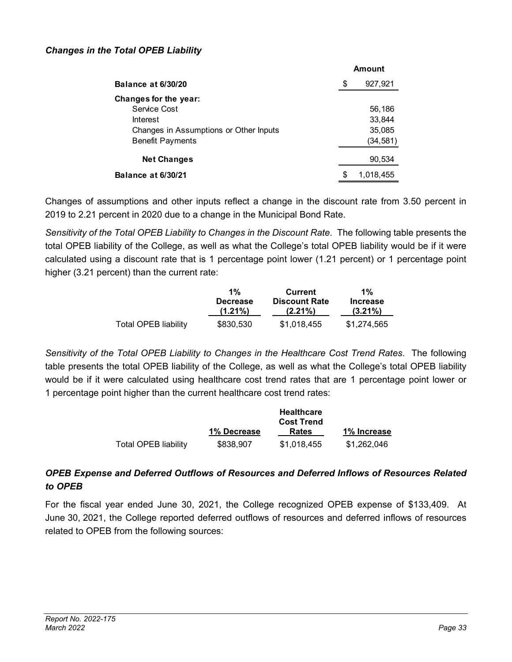### *Changes in the Total OPEB Liability*

|                                        |    | Amount    |
|----------------------------------------|----|-----------|
| Balance at 6/30/20                     |    | 927,921   |
| Changes for the year:                  |    |           |
| Service Cost                           |    | 56,186    |
| Interest                               |    | 33,844    |
| Changes in Assumptions or Other Inputs |    | 35,085    |
| <b>Benefit Payments</b>                |    | (34, 581) |
| <b>Net Changes</b>                     |    | 90,534    |
| Balance at 6/30/21                     | \$ | 1.018.455 |

Changes of assumptions and other inputs reflect a change in the discount rate from 3.50 percent in 2019 to 2.21 percent in 2020 due to a change in the Municipal Bond Rate.

*Sensitivity of the Total OPEB Liability to Changes in the Discount Rate*. The following table presents the total OPEB liability of the College, as well as what the College's total OPEB liability would be if it were calculated using a discount rate that is 1 percentage point lower (1.21 percent) or 1 percentage point higher (3.21 percent) than the current rate:

|                             | $1\%$                         | Current                            | $1\%$                         |  |
|-----------------------------|-------------------------------|------------------------------------|-------------------------------|--|
|                             | <b>Decrease</b><br>$(1.21\%)$ | <b>Discount Rate</b><br>$(2.21\%)$ | <b>Increase</b><br>$(3.21\%)$ |  |
| <b>Total OPEB liability</b> | \$830.530                     | \$1,018,455                        | \$1,274,565                   |  |

*Sensitivity of the Total OPEB Liability to Changes in the Healthcare Cost Trend Rates*. The following table presents the total OPEB liability of the College, as well as what the College's total OPEB liability would be if it were calculated using healthcare cost trend rates that are 1 percentage point lower or 1 percentage point higher than the current healthcare cost trend rates:

|                             |                    | <b>Healthcare</b><br><b>Cost Trend</b> |             |
|-----------------------------|--------------------|----------------------------------------|-------------|
|                             | <b>1% Decrease</b> | Rates                                  | 1% Increase |
| <b>Total OPEB liability</b> | \$838,907          | \$1,018,455                            | \$1,262,046 |

### *OPEB Expense and Deferred Outflows of Resources and Deferred Inflows of Resources Related to OPEB*

For the fiscal year ended June 30, 2021, the College recognized OPEB expense of \$133,409. At June 30, 2021, the College reported deferred outflows of resources and deferred inflows of resources related to OPEB from the following sources: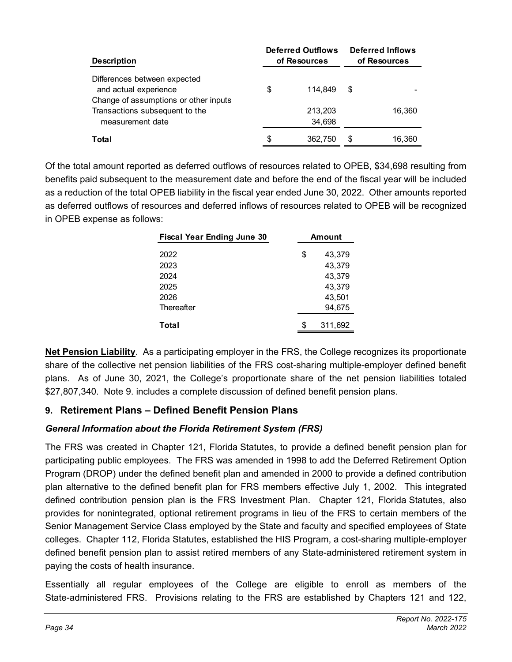| <b>Description</b><br>of Resources                    |    | <b>Deferred Outflows</b> |   | Deferred Inflows<br>of Resources |
|-------------------------------------------------------|----|--------------------------|---|----------------------------------|
| Differences between expected<br>and actual experience | \$ | 114.849                  | S |                                  |
| Change of assumptions or other inputs                 |    |                          |   |                                  |
| Transactions subsequent to the                        |    | 213,203                  |   | 16,360                           |
| measurement date                                      |    | 34,698                   |   |                                  |
| Total                                                 | S  | 362,750                  | S | 16,360                           |

Of the total amount reported as deferred outflows of resources related to OPEB, \$34,698 resulting from benefits paid subsequent to the measurement date and before the end of the fiscal year will be included as a reduction of the total OPEB liability in the fiscal year ended June 30, 2022. Other amounts reported as deferred outflows of resources and deferred inflows of resources related to OPEB will be recognized in OPEB expense as follows:

| <b>Fiscal Year Ending June 30</b> |        | Amount  |  |
|-----------------------------------|--------|---------|--|
| 2022                              | \$     | 43,379  |  |
| 2023                              |        | 43,379  |  |
| 2024                              | 43,379 |         |  |
| 2025                              |        | 43,379  |  |
| 2026                              | 43,501 |         |  |
| Thereafter                        |        | 94,675  |  |
| Total                             | \$     | 311,692 |  |

**Net Pension Liability**. As a participating employer in the FRS, the College recognizes its proportionate share of the collective net pension liabilities of the FRS cost-sharing multiple-employer defined benefit plans. As of June 30, 2021, the College's proportionate share of the net pension liabilities totaled \$27,807,340. Note 9. includes a complete discussion of defined benefit pension plans.

### **9. Retirement Plans – Defined Benefit Pension Plans**

### *General Information about the Florida Retirement System (FRS)*

The FRS was created in Chapter 121, Florida Statutes, to provide a defined benefit pension plan for participating public employees. The FRS was amended in 1998 to add the Deferred Retirement Option Program (DROP) under the defined benefit plan and amended in 2000 to provide a defined contribution plan alternative to the defined benefit plan for FRS members effective July 1, 2002. This integrated defined contribution pension plan is the FRS Investment Plan. Chapter 121, Florida Statutes, also provides for nonintegrated, optional retirement programs in lieu of the FRS to certain members of the Senior Management Service Class employed by the State and faculty and specified employees of State colleges. Chapter 112, Florida Statutes, established the HIS Program, a cost-sharing multiple-employer defined benefit pension plan to assist retired members of any State-administered retirement system in paying the costs of health insurance.

Essentially all regular employees of the College are eligible to enroll as members of the State-administered FRS. Provisions relating to the FRS are established by Chapters 121 and 122,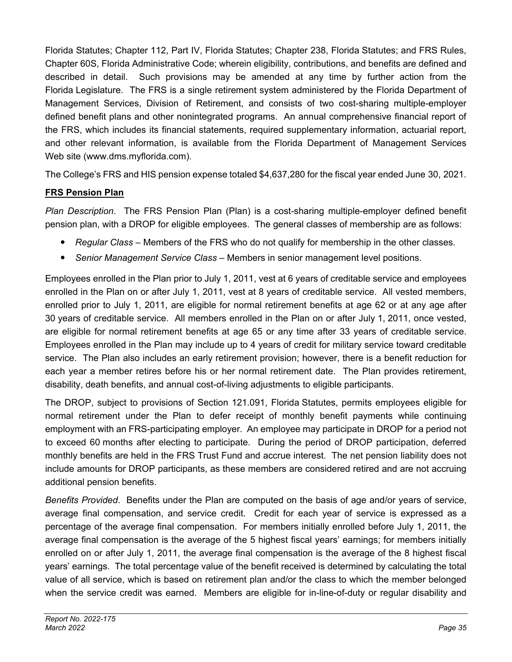Florida Statutes; Chapter 112, Part IV, Florida Statutes; Chapter 238, Florida Statutes; and FRS Rules, Chapter 60S, Florida Administrative Code; wherein eligibility, contributions, and benefits are defined and described in detail. Such provisions may be amended at any time by further action from the Florida Legislature. The FRS is a single retirement system administered by the Florida Department of Management Services, Division of Retirement, and consists of two cost-sharing multiple-employer defined benefit plans and other nonintegrated programs. An annual comprehensive financial report of the FRS, which includes its financial statements, required supplementary information, actuarial report, and other relevant information, is available from the Florida Department of Management Services Web site (www.dms.myflorida.com).

The College's FRS and HIS pension expense totaled \$4,637,280 for the fiscal year ended June 30, 2021.

### **FRS Pension Plan**

*Plan Description*. The FRS Pension Plan (Plan) is a cost-sharing multiple-employer defined benefit pension plan, with a DROP for eligible employees. The general classes of membership are as follows:

- *Regular Class* Members of the FRS who do not qualify for membership in the other classes.
- *Senior Management Service Class* Members in senior management level positions.

Employees enrolled in the Plan prior to July 1, 2011, vest at 6 years of creditable service and employees enrolled in the Plan on or after July 1, 2011, vest at 8 years of creditable service. All vested members, enrolled prior to July 1, 2011, are eligible for normal retirement benefits at age 62 or at any age after 30 years of creditable service. All members enrolled in the Plan on or after July 1, 2011, once vested, are eligible for normal retirement benefits at age 65 or any time after 33 years of creditable service. Employees enrolled in the Plan may include up to 4 years of credit for military service toward creditable service. The Plan also includes an early retirement provision; however, there is a benefit reduction for each year a member retires before his or her normal retirement date. The Plan provides retirement, disability, death benefits, and annual cost-of-living adjustments to eligible participants.

The DROP, subject to provisions of Section 121.091, Florida Statutes, permits employees eligible for normal retirement under the Plan to defer receipt of monthly benefit payments while continuing employment with an FRS-participating employer. An employee may participate in DROP for a period not to exceed 60 months after electing to participate. During the period of DROP participation, deferred monthly benefits are held in the FRS Trust Fund and accrue interest. The net pension liability does not include amounts for DROP participants, as these members are considered retired and are not accruing additional pension benefits.

*Benefits Provided*. Benefits under the Plan are computed on the basis of age and/or years of service, average final compensation, and service credit. Credit for each year of service is expressed as a percentage of the average final compensation. For members initially enrolled before July 1, 2011, the average final compensation is the average of the 5 highest fiscal years' earnings; for members initially enrolled on or after July 1, 2011, the average final compensation is the average of the 8 highest fiscal years' earnings. The total percentage value of the benefit received is determined by calculating the total value of all service, which is based on retirement plan and/or the class to which the member belonged when the service credit was earned. Members are eligible for in-line-of-duty or regular disability and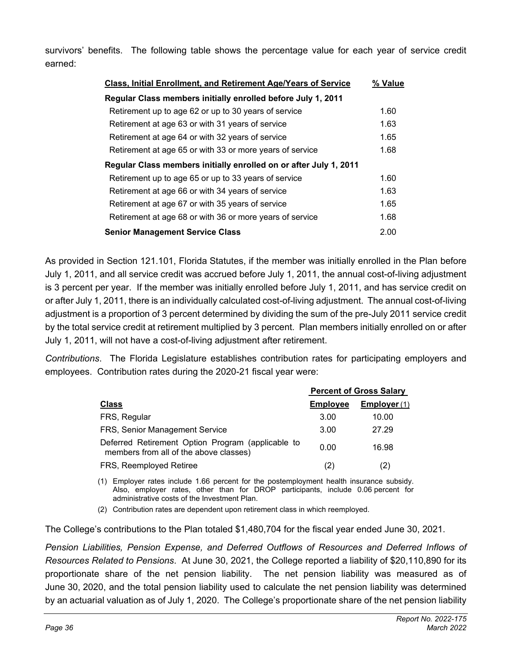survivors' benefits. The following table shows the percentage value for each year of service credit earned:

| Class, Initial Enrollment, and Retirement Age/Years of Service    |      |
|-------------------------------------------------------------------|------|
| Regular Class members initially enrolled before July 1, 2011      |      |
| Retirement up to age 62 or up to 30 years of service              | 1.60 |
| Retirement at age 63 or with 31 years of service                  | 1.63 |
| Retirement at age 64 or with 32 years of service                  | 1.65 |
| Retirement at age 65 or with 33 or more years of service          | 1.68 |
| Regular Class members initially enrolled on or after July 1, 2011 |      |
| Retirement up to age 65 or up to 33 years of service              | 1.60 |
| Retirement at age 66 or with 34 years of service                  | 1.63 |
| Retirement at age 67 or with 35 years of service                  | 1.65 |
| Retirement at age 68 or with 36 or more years of service          | 1.68 |
| <b>Senior Management Service Class</b>                            | 2.00 |

As provided in Section 121.101, Florida Statutes, if the member was initially enrolled in the Plan before July 1, 2011, and all service credit was accrued before July 1, 2011, the annual cost-of-living adjustment is 3 percent per year. If the member was initially enrolled before July 1, 2011, and has service credit on or after July 1, 2011, there is an individually calculated cost-of-living adjustment. The annual cost-of-living adjustment is a proportion of 3 percent determined by dividing the sum of the pre-July 2011 service credit by the total service credit at retirement multiplied by 3 percent. Plan members initially enrolled on or after July 1, 2011, will not have a cost-of-living adjustment after retirement.

*Contributions*. The Florida Legislature establishes contribution rates for participating employers and employees. Contribution rates during the 2020-21 fiscal year were:

|                                                                                             | <b>Percent of Gross Salary</b> |                   |  |
|---------------------------------------------------------------------------------------------|--------------------------------|-------------------|--|
| <b>Class</b>                                                                                | <b>Employee</b>                | Employer $(1)$    |  |
| FRS, Regular                                                                                | 3.00                           | 10.00             |  |
| FRS, Senior Management Service                                                              | 3.00                           | 27.29             |  |
| Deferred Retirement Option Program (applicable to<br>members from all of the above classes) | 0.00                           | 16.98             |  |
| FRS, Reemployed Retiree                                                                     |                                | $\left( 2\right)$ |  |

(1) Employer rates include 1.66 percent for the postemployment health insurance subsidy. Also, employer rates, other than for DROP participants, include 0.06 percent for administrative costs of the Investment Plan.

(2) Contribution rates are dependent upon retirement class in which reemployed.

The College's contributions to the Plan totaled \$1,480,704 for the fiscal year ended June 30, 2021.

*Pension Liabilities, Pension Expense, and Deferred Outflows of Resources and Deferred Inflows of Resources Related to Pensions*. At June 30, 2021, the College reported a liability of \$20,110,890 for its proportionate share of the net pension liability. The net pension liability was measured as of June 30, 2020, and the total pension liability used to calculate the net pension liability was determined by an actuarial valuation as of July 1, 2020. The College's proportionate share of the net pension liability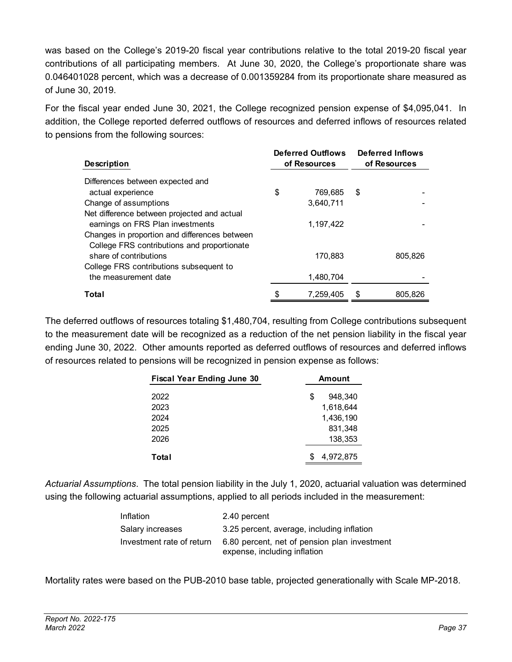was based on the College's 2019-20 fiscal year contributions relative to the total 2019-20 fiscal year contributions of all participating members. At June 30, 2020, the College's proportionate share was 0.046401028 percent, which was a decrease of 0.001359284 from its proportionate share measured as of June 30, 2019.

For the fiscal year ended June 30, 2021, the College recognized pension expense of \$4,095,041. In addition, the College reported deferred outflows of resources and deferred inflows of resources related to pensions from the following sources:

| <b>Description</b>                            | <b>Deferred Outflows</b><br>of Resources |           | <b>Deferred Inflows</b><br>of Resources |         |
|-----------------------------------------------|------------------------------------------|-----------|-----------------------------------------|---------|
| Differences between expected and              |                                          |           |                                         |         |
| actual experience                             | \$                                       | 769,685   | \$                                      |         |
| Change of assumptions                         |                                          | 3,640,711 |                                         |         |
| Net difference between projected and actual   |                                          |           |                                         |         |
| earnings on FRS Plan investments              |                                          | 1,197,422 |                                         |         |
| Changes in proportion and differences between |                                          |           |                                         |         |
| College FRS contributions and proportionate   |                                          |           |                                         |         |
| share of contributions                        |                                          | 170,883   |                                         | 805,826 |
| College FRS contributions subsequent to       |                                          |           |                                         |         |
| the measurement date                          |                                          | 1,480,704 |                                         |         |
| Total                                         | \$                                       | 7.259.405 | S                                       | 805.826 |

The deferred outflows of resources totaling \$1,480,704, resulting from College contributions subsequent to the measurement date will be recognized as a reduction of the net pension liability in the fiscal year ending June 30, 2022. Other amounts reported as deferred outflows of resources and deferred inflows of resources related to pensions will be recognized in pension expense as follows:

| <b>Fiscal Year Ending June 30</b> | <b>Amount</b> |  |
|-----------------------------------|---------------|--|
| 2022                              | 948.340<br>\$ |  |
| 2023                              | 1,618,644     |  |
| 2024                              | 1,436,190     |  |
| 2025                              | 831.348       |  |
| 2026                              | 138,353       |  |
| Total                             | 4,972,875     |  |

*Actuarial Assumptions*. The total pension liability in the July 1, 2020, actuarial valuation was determined using the following actuarial assumptions, applied to all periods included in the measurement:

| Inflation                 | 2.40 percent                                                                 |
|---------------------------|------------------------------------------------------------------------------|
| Salary increases          | 3.25 percent, average, including inflation                                   |
| Investment rate of return | 6.80 percent, net of pension plan investment<br>expense, including inflation |

Mortality rates were based on the PUB-2010 base table, projected generationally with Scale MP-2018.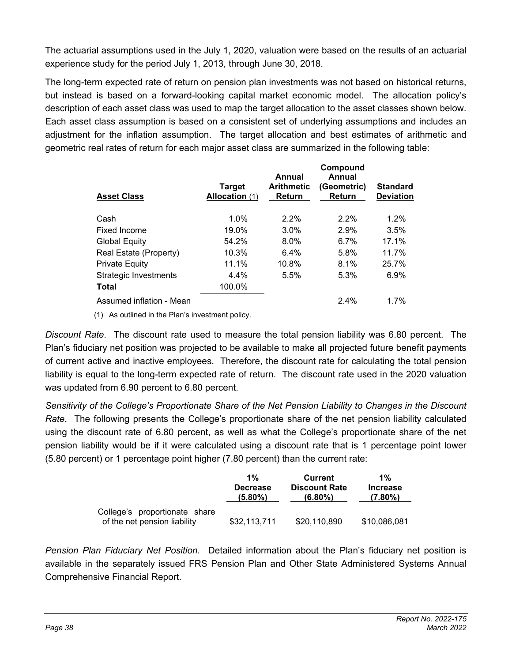The actuarial assumptions used in the July 1, 2020, valuation were based on the results of an actuarial experience study for the period July 1, 2013, through June 30, 2018.

The long-term expected rate of return on pension plan investments was not based on historical returns, but instead is based on a forward-looking capital market economic model. The allocation policy's description of each asset class was used to map the target allocation to the asset classes shown below. Each asset class assumption is based on a consistent set of underlying assumptions and includes an adjustment for the inflation assumption. The target allocation and best estimates of arithmetic and geometric real rates of return for each major asset class are summarized in the following table:

| <b>Asset Class</b>           | <b>Target</b><br>Allocation (1) | Annual<br><b>Arithmetic</b><br>Return | Compound<br>Annual<br>(Geometric)<br>Return | <b>Standard</b><br><b>Deviation</b> |
|------------------------------|---------------------------------|---------------------------------------|---------------------------------------------|-------------------------------------|
| Cash                         | 1.0%                            | 2.2%                                  | 2.2%                                        | 1.2%                                |
| <b>Fixed Income</b>          | 19.0%                           | 3.0%                                  | 2.9%                                        | 3.5%                                |
| <b>Global Equity</b>         | 54.2%                           | 8.0%                                  | 6.7%                                        | 17.1%                               |
| Real Estate (Property)       | 10.3%                           | 6.4%                                  | 5.8%                                        | 11.7%                               |
| <b>Private Equity</b>        | 11.1%                           | 10.8%                                 | 8.1%                                        | 25.7%                               |
| <b>Strategic Investments</b> | 4.4%                            | 5.5%                                  | 5.3%                                        | 6.9%                                |
| Total                        | 100.0%                          |                                       |                                             |                                     |
| Assumed inflation - Mean     |                                 |                                       | 2.4%                                        | 1.7%                                |

(1) As outlined in the Plan's investment policy.

*Discount Rate*. The discount rate used to measure the total pension liability was 6.80 percent. The Plan's fiduciary net position was projected to be available to make all projected future benefit payments of current active and inactive employees. Therefore, the discount rate for calculating the total pension liability is equal to the long-term expected rate of return. The discount rate used in the 2020 valuation was updated from 6.90 percent to 6.80 percent.

*Sensitivity of the College's Proportionate Share of the Net Pension Liability to Changes in the Discount Rate*. The following presents the College's proportionate share of the net pension liability calculated using the discount rate of 6.80 percent, as well as what the College's proportionate share of the net pension liability would be if it were calculated using a discount rate that is 1 percentage point lower (5.80 percent) or 1 percentage point higher (7.80 percent) than the current rate:

|                                                               | $1\%$           | <b>Current</b>       | 1%              |
|---------------------------------------------------------------|-----------------|----------------------|-----------------|
|                                                               | <b>Decrease</b> | <b>Discount Rate</b> | <b>Increase</b> |
|                                                               | $(5.80\%)$      | $(6.80\%)$           | $(7.80\%)$      |
| College's proportionate share<br>of the net pension liability | \$32,113,711    | \$20,110,890         | \$10,086,081    |

*Pension Plan Fiduciary Net Position*. Detailed information about the Plan's fiduciary net position is available in the separately issued FRS Pension Plan and Other State Administered Systems Annual Comprehensive Financial Report.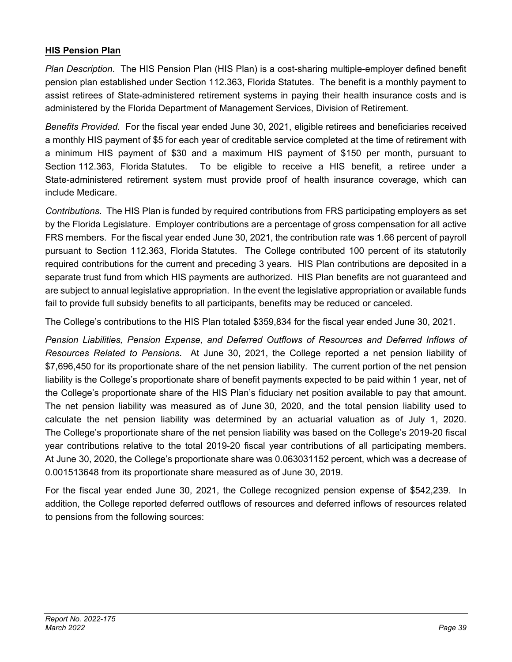### **HIS Pension Plan**

*Plan Description*. The HIS Pension Plan (HIS Plan) is a cost-sharing multiple-employer defined benefit pension plan established under Section 112.363, Florida Statutes. The benefit is a monthly payment to assist retirees of State-administered retirement systems in paying their health insurance costs and is administered by the Florida Department of Management Services, Division of Retirement.

*Benefits Provided*. For the fiscal year ended June 30, 2021, eligible retirees and beneficiaries received a monthly HIS payment of \$5 for each year of creditable service completed at the time of retirement with a minimum HIS payment of \$30 and a maximum HIS payment of \$150 per month, pursuant to Section 112.363, Florida Statutes. To be eligible to receive a HIS benefit, a retiree under a State-administered retirement system must provide proof of health insurance coverage, which can include Medicare.

*Contributions*. The HIS Plan is funded by required contributions from FRS participating employers as set by the Florida Legislature. Employer contributions are a percentage of gross compensation for all active FRS members. For the fiscal year ended June 30, 2021, the contribution rate was 1.66 percent of payroll pursuant to Section 112.363, Florida Statutes. The College contributed 100 percent of its statutorily required contributions for the current and preceding 3 years. HIS Plan contributions are deposited in a separate trust fund from which HIS payments are authorized. HIS Plan benefits are not guaranteed and are subject to annual legislative appropriation. In the event the legislative appropriation or available funds fail to provide full subsidy benefits to all participants, benefits may be reduced or canceled.

The College's contributions to the HIS Plan totaled \$359,834 for the fiscal year ended June 30, 2021.

*Pension Liabilities, Pension Expense, and Deferred Outflows of Resources and Deferred Inflows of Resources Related to Pensions*. At June 30, 2021, the College reported a net pension liability of \$7,696,450 for its proportionate share of the net pension liability. The current portion of the net pension liability is the College's proportionate share of benefit payments expected to be paid within 1 year, net of the College's proportionate share of the HIS Plan's fiduciary net position available to pay that amount. The net pension liability was measured as of June 30, 2020, and the total pension liability used to calculate the net pension liability was determined by an actuarial valuation as of July 1, 2020. The College's proportionate share of the net pension liability was based on the College's 2019-20 fiscal year contributions relative to the total 2019-20 fiscal year contributions of all participating members. At June 30, 2020, the College's proportionate share was 0.063031152 percent, which was a decrease of 0.001513648 from its proportionate share measured as of June 30, 2019.

For the fiscal year ended June 30, 2021, the College recognized pension expense of \$542,239. In addition, the College reported deferred outflows of resources and deferred inflows of resources related to pensions from the following sources: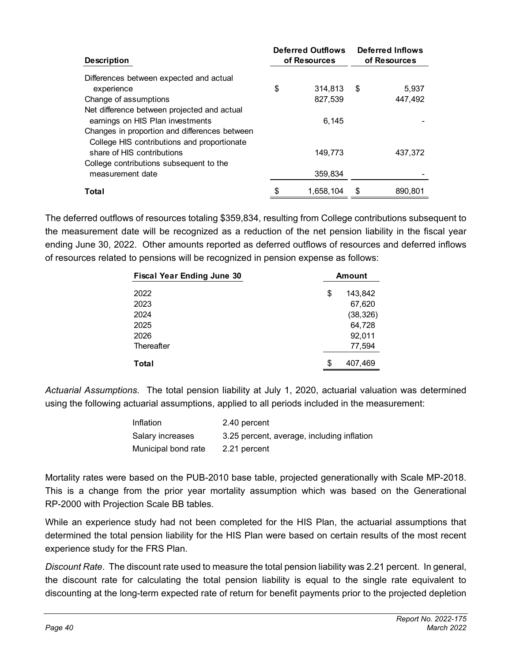| <b>Description</b>                                                              | <b>Deferred Outflows</b><br>of Resources |           | <b>Deferred Inflows</b><br>of Resources |         |
|---------------------------------------------------------------------------------|------------------------------------------|-----------|-----------------------------------------|---------|
| Differences between expected and actual                                         |                                          |           |                                         |         |
| experience                                                                      | \$                                       | 314,813   | \$                                      | 5.937   |
| Change of assumptions                                                           |                                          | 827,539   |                                         | 447.492 |
| Net difference between projected and actual<br>earnings on HIS Plan investments |                                          | 6.145     |                                         |         |
| Changes in proportion and differences between                                   |                                          |           |                                         |         |
| College HIS contributions and proportionate<br>share of HIS contributions       |                                          | 149.773   |                                         | 437.372 |
| College contributions subsequent to the<br>measurement date                     |                                          | 359,834   |                                         |         |
| Total                                                                           | \$                                       | 1,658,104 | \$                                      | 890,801 |

The deferred outflows of resources totaling \$359,834, resulting from College contributions subsequent to the measurement date will be recognized as a reduction of the net pension liability in the fiscal year ending June 30, 2022. Other amounts reported as deferred outflows of resources and deferred inflows of resources related to pensions will be recognized in pension expense as follows:

| <b>Fiscal Year Ending June 30</b> | Amount    |         |
|-----------------------------------|-----------|---------|
| 2022                              | \$        | 143,842 |
| 2023                              |           | 67,620  |
| 2024                              | (38, 326) |         |
| 2025                              |           | 64,728  |
| 2026                              |           | 92,011  |
| Thereafter                        |           | 77,594  |
| Total                             | \$        | 407,469 |

*Actuarial Assumptions.* The total pension liability at July 1, 2020, actuarial valuation was determined using the following actuarial assumptions, applied to all periods included in the measurement:

| Inflation           | 2.40 percent                               |
|---------------------|--------------------------------------------|
| Salary increases    | 3.25 percent, average, including inflation |
| Municipal bond rate | 2.21 percent                               |

Mortality rates were based on the PUB-2010 base table, projected generationally with Scale MP-2018. This is a change from the prior year mortality assumption which was based on the Generational RP-2000 with Projection Scale BB tables.

While an experience study had not been completed for the HIS Plan, the actuarial assumptions that determined the total pension liability for the HIS Plan were based on certain results of the most recent experience study for the FRS Plan.

*Discount Rate*. The discount rate used to measure the total pension liability was 2.21 percent. In general, the discount rate for calculating the total pension liability is equal to the single rate equivalent to discounting at the long-term expected rate of return for benefit payments prior to the projected depletion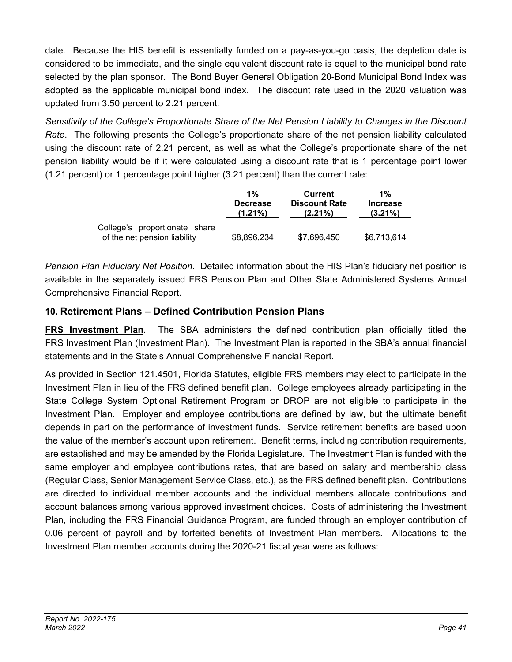date. Because the HIS benefit is essentially funded on a pay-as-you-go basis, the depletion date is considered to be immediate, and the single equivalent discount rate is equal to the municipal bond rate selected by the plan sponsor. The Bond Buyer General Obligation 20-Bond Municipal Bond Index was adopted as the applicable municipal bond index. The discount rate used in the 2020 valuation was updated from 3.50 percent to 2.21 percent.

*Sensitivity of the College's Proportionate Share of the Net Pension Liability to Changes in the Discount Rate*. The following presents the College's proportionate share of the net pension liability calculated using the discount rate of 2.21 percent, as well as what the College's proportionate share of the net pension liability would be if it were calculated using a discount rate that is 1 percentage point lower (1.21 percent) or 1 percentage point higher (3.21 percent) than the current rate:

|                                                               | 1%              | Current              | 1%              |
|---------------------------------------------------------------|-----------------|----------------------|-----------------|
|                                                               | <b>Decrease</b> | <b>Discount Rate</b> | <b>Increase</b> |
|                                                               | $(1.21\%)$      | $(2.21\%)$           | $(3.21\%)$      |
| College's proportionate share<br>of the net pension liability | \$8,896,234     | \$7,696,450          | \$6,713,614     |

*Pension Plan Fiduciary Net Position*. Detailed information about the HIS Plan's fiduciary net position is available in the separately issued FRS Pension Plan and Other State Administered Systems Annual Comprehensive Financial Report.

### **10. Retirement Plans – Defined Contribution Pension Plans**

**FRS Investment Plan**. The SBA administers the defined contribution plan officially titled the FRS Investment Plan (Investment Plan). The Investment Plan is reported in the SBA's annual financial statements and in the State's Annual Comprehensive Financial Report.

As provided in Section 121.4501, Florida Statutes, eligible FRS members may elect to participate in the Investment Plan in lieu of the FRS defined benefit plan. College employees already participating in the State College System Optional Retirement Program or DROP are not eligible to participate in the Investment Plan. Employer and employee contributions are defined by law, but the ultimate benefit depends in part on the performance of investment funds. Service retirement benefits are based upon the value of the member's account upon retirement. Benefit terms, including contribution requirements, are established and may be amended by the Florida Legislature. The Investment Plan is funded with the same employer and employee contributions rates, that are based on salary and membership class (Regular Class, Senior Management Service Class, etc.), as the FRS defined benefit plan. Contributions are directed to individual member accounts and the individual members allocate contributions and account balances among various approved investment choices. Costs of administering the Investment Plan, including the FRS Financial Guidance Program, are funded through an employer contribution of 0.06 percent of payroll and by forfeited benefits of Investment Plan members. Allocations to the Investment Plan member accounts during the 2020-21 fiscal year were as follows: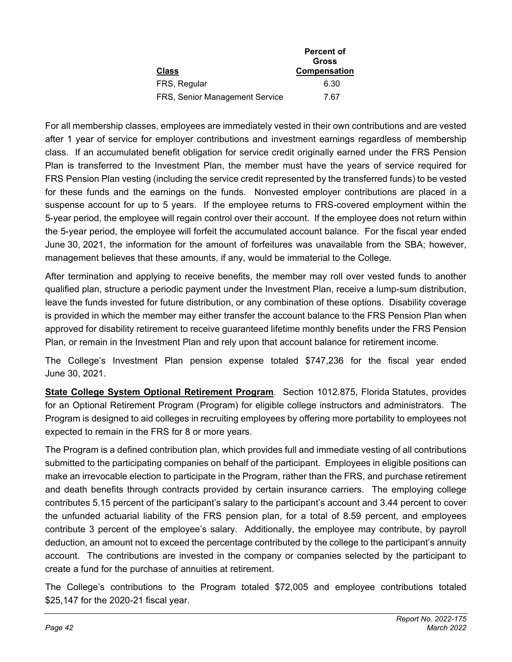|                                | <b>Percent of</b> |  |
|--------------------------------|-------------------|--|
|                                | Gross             |  |
| <b>Class</b>                   | Compensation      |  |
| FRS, Regular                   | 6.30              |  |
| FRS, Senior Management Service | 7.67              |  |

For all membership classes, employees are immediately vested in their own contributions and are vested after 1 year of service for employer contributions and investment earnings regardless of membership class. If an accumulated benefit obligation for service credit originally earned under the FRS Pension Plan is transferred to the Investment Plan, the member must have the years of service required for FRS Pension Plan vesting (including the service credit represented by the transferred funds) to be vested for these funds and the earnings on the funds. Nonvested employer contributions are placed in a suspense account for up to 5 years. If the employee returns to FRS-covered employment within the 5-year period, the employee will regain control over their account. If the employee does not return within the 5-year period, the employee will forfeit the accumulated account balance. For the fiscal year ended June 30, 2021, the information for the amount of forfeitures was unavailable from the SBA; however, management believes that these amounts, if any, would be immaterial to the College.

After termination and applying to receive benefits, the member may roll over vested funds to another qualified plan, structure a periodic payment under the Investment Plan, receive a lump-sum distribution, leave the funds invested for future distribution, or any combination of these options. Disability coverage is provided in which the member may either transfer the account balance to the FRS Pension Plan when approved for disability retirement to receive guaranteed lifetime monthly benefits under the FRS Pension Plan, or remain in the Investment Plan and rely upon that account balance for retirement income.

The College's Investment Plan pension expense totaled \$747,236 for the fiscal year ended June 30, 2021.

**State College System Optional Retirement Program**. Section 1012.875, Florida Statutes, provides for an Optional Retirement Program (Program) for eligible college instructors and administrators. The Program is designed to aid colleges in recruiting employees by offering more portability to employees not expected to remain in the FRS for 8 or more years.

The Program is a defined contribution plan, which provides full and immediate vesting of all contributions submitted to the participating companies on behalf of the participant. Employees in eligible positions can make an irrevocable election to participate in the Program, rather than the FRS, and purchase retirement and death benefits through contracts provided by certain insurance carriers. The employing college contributes 5.15 percent of the participant's salary to the participant's account and 3.44 percent to cover the unfunded actuarial liability of the FRS pension plan, for a total of 8.59 percent, and employees contribute 3 percent of the employee's salary. Additionally, the employee may contribute, by payroll deduction, an amount not to exceed the percentage contributed by the college to the participant's annuity account. The contributions are invested in the company or companies selected by the participant to create a fund for the purchase of annuities at retirement.

The College's contributions to the Program totaled \$72,005 and employee contributions totaled \$25,147 for the 2020-21 fiscal year.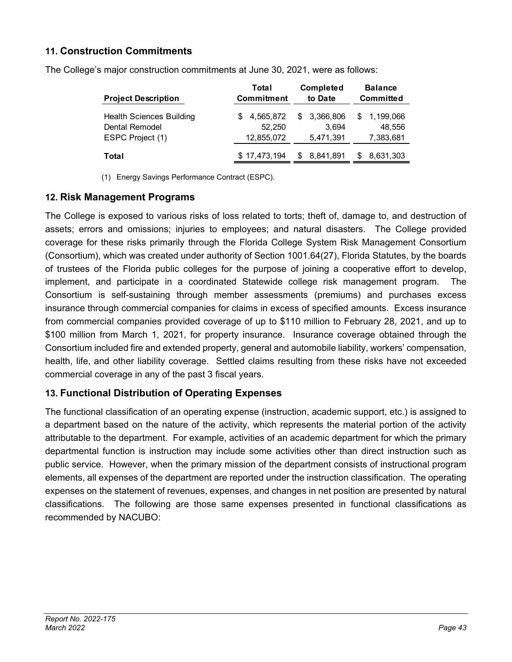### **11. Construction Commitments**

| <b>Project Description</b>                                            | Total<br><b>Commitment</b>               | <b>Completed</b><br>to Date          | <b>Balance</b><br><b>Committed</b>    |
|-----------------------------------------------------------------------|------------------------------------------|--------------------------------------|---------------------------------------|
| <b>Health Sciences Building</b><br>Dental Remodel<br>ESPC Project (1) | 4,565,872<br>\$.<br>52.250<br>12,855,072 | 3.366.806<br>S<br>3.694<br>5,471,391 | 1,199,066<br>S<br>48.556<br>7,383,681 |
| Total                                                                 | \$17,473,194                             | 8,841,891<br>\$.                     | 8,631,303<br>S                        |

The College's major construction commitments at June 30, 2021, were as follows:

(1) Energy Savings Performance Contract (ESPC).

### **12. Risk Management Programs**

The College is exposed to various risks of loss related to torts; theft of, damage to, and destruction of assets; errors and omissions; injuries to employees; and natural disasters. The College provided coverage for these risks primarily through the Florida College System Risk Management Consortium (Consortium), which was created under authority of Section 1001.64(27), Florida Statutes, by the boards of trustees of the Florida public colleges for the purpose of joining a cooperative effort to develop, implement, and participate in a coordinated Statewide college risk management program. The Consortium is self-sustaining through member assessments (premiums) and purchases excess insurance through commercial companies for claims in excess of specified amounts. Excess insurance from commercial companies provided coverage of up to \$110 million to February 28, 2021, and up to \$100 million from March 1, 2021, for property insurance. Insurance coverage obtained through the Consortium included fire and extended property, general and automobile liability, workers' compensation, health, life, and other liability coverage. Settled claims resulting from these risks have not exceeded commercial coverage in any of the past 3 fiscal years.

### **13. Functional Distribution of Operating Expenses**

The functional classification of an operating expense (instruction, academic support, etc.) is assigned to a department based on the nature of the activity, which represents the material portion of the activity attributable to the department. For example, activities of an academic department for which the primary departmental function is instruction may include some activities other than direct instruction such as public service. However, when the primary mission of the department consists of instructional program elements, all expenses of the department are reported under the instruction classification. The operating expenses on the statement of revenues, expenses, and changes in net position are presented by natural classifications. The following are those same expenses presented in functional classifications as recommended by NACUBO: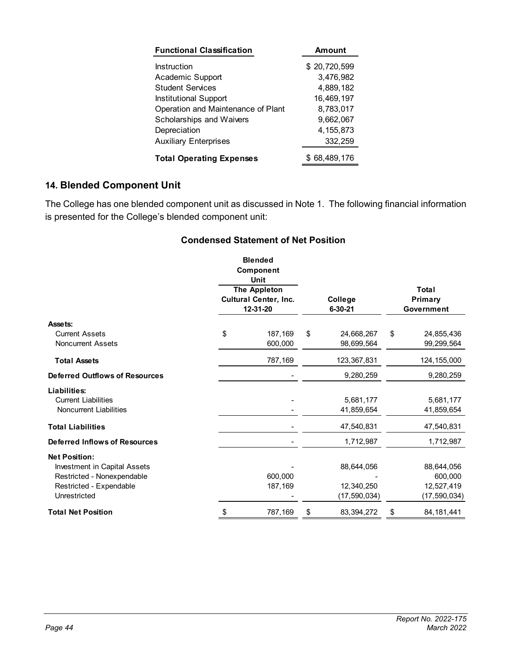| <b>Functional Classification</b>   | <b>Amount</b> |
|------------------------------------|---------------|
| Instruction                        | \$20,720,599  |
| Academic Support                   | 3,476,982     |
| <b>Student Services</b>            | 4,889,182     |
| Institutional Support              | 16,469,197    |
| Operation and Maintenance of Plant | 8,783,017     |
| Scholarships and Waivers           | 9,662,067     |
| Depreciation                       | 4,155,873     |
| <b>Auxiliary Enterprises</b>       | 332,259       |
| <b>Total Operating Expenses</b>    | \$68,489,176  |

### **14. Blended Component Unit**

The College has one blended component unit as discussed in Note 1. The following financial information is presented for the College's blended component unit:

### **Condensed Statement of Net Position**

|                                       | <b>Blended</b><br>Component<br>Unit                             |    |                          |    |                                |  |
|---------------------------------------|-----------------------------------------------------------------|----|--------------------------|----|--------------------------------|--|
|                                       | <b>The Appleton</b><br><b>Cultural Center, Inc.</b><br>12-31-20 |    | College<br>$6 - 30 - 21$ |    | Total<br>Primary<br>Government |  |
| Assets:                               |                                                                 |    |                          |    |                                |  |
| <b>Current Assets</b>                 | \$<br>187.169                                                   | \$ | 24,668,267               | \$ | 24,855,436                     |  |
| <b>Noncurrent Assets</b>              | 600,000                                                         |    | 98,699,564               |    | 99,299,564                     |  |
| <b>Total Assets</b>                   | 787,169                                                         |    | 123,367,831              |    | 124, 155, 000                  |  |
| <b>Deferred Outflows of Resources</b> |                                                                 |    | 9,280,259                |    | 9,280,259                      |  |
| Liabilities:                          |                                                                 |    |                          |    |                                |  |
| <b>Current Liabilities</b>            |                                                                 |    | 5,681,177                |    | 5,681,177                      |  |
| <b>Noncurrent Liabilities</b>         |                                                                 |    | 41,859,654               |    | 41,859,654                     |  |
| <b>Total Liabilities</b>              |                                                                 |    | 47,540,831               |    | 47,540,831                     |  |
| <b>Deferred Inflows of Resources</b>  |                                                                 |    | 1,712,987                |    | 1,712,987                      |  |
| <b>Net Position:</b>                  |                                                                 |    |                          |    |                                |  |
| Investment in Capital Assets          |                                                                 |    | 88,644,056               |    | 88,644,056                     |  |
| Restricted - Nonexpendable            | 600,000                                                         |    |                          |    | 600,000                        |  |
| Restricted - Expendable               | 187,169                                                         |    | 12,340,250               |    | 12,527,419                     |  |
| Unrestricted                          |                                                                 |    | (17, 590, 034)           |    | (17, 590, 034)                 |  |
| <b>Total Net Position</b>             | \$<br>787,169                                                   | \$ | 83,394,272               | \$ | 84, 181, 441                   |  |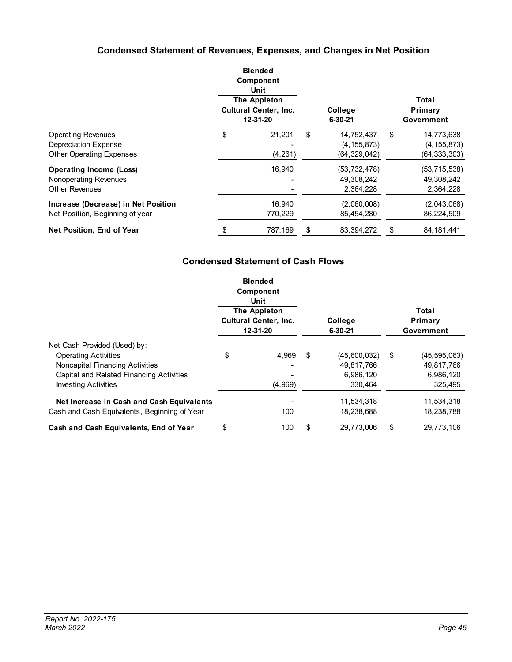### **Condensed Statement of Revenues, Expenses, and Changes in Net Position**

|                                                                                             | <b>Blended</b><br>Component<br>Unit<br><b>The Appleton</b><br><b>Cultural Center, Inc.</b><br>12-31-20 | College<br>6-30-21                                  | Total<br><b>Primary</b><br>Government               |
|---------------------------------------------------------------------------------------------|--------------------------------------------------------------------------------------------------------|-----------------------------------------------------|-----------------------------------------------------|
| <b>Operating Revenues</b><br><b>Depreciation Expense</b><br><b>Other Operating Expenses</b> | \$<br>21.201<br>(4,261)                                                                                | \$<br>14.752.437<br>(4, 155, 873)<br>(64, 329, 042) | \$<br>14,773,638<br>(4, 155, 873)<br>(64, 333, 303) |
| <b>Operating Income (Loss)</b><br>Nonoperating Revenues<br><b>Other Revenues</b>            | 16,940                                                                                                 | (53, 732, 478)<br>49,308,242<br>2,364,228           | (53, 715, 538)<br>49,308,242<br>2,364,228           |
| Increase (Decrease) in Net Position<br>Net Position, Beginning of year                      | 16.940<br>770,229                                                                                      | (2,060,008)<br>85,454,280                           | (2,043,068)<br>86,224,509                           |
| <b>Net Position, End of Year</b>                                                            | \$<br>787.169                                                                                          | \$<br>83.394.272                                    | \$<br>84, 181, 441                                  |

### **Condensed Statement of Cash Flows**

|                                              | <b>Blended</b><br>Component<br>Unit                      |                    |                                |
|----------------------------------------------|----------------------------------------------------------|--------------------|--------------------------------|
|                                              | The Appleton<br><b>Cultural Center, Inc.</b><br>12-31-20 | College<br>6-30-21 | Total<br>Primary<br>Government |
| Net Cash Provided (Used) by:                 |                                                          |                    |                                |
| <b>Operating Activities</b>                  | \$<br>4,969                                              | \$<br>(45,600,032) | \$<br>(45, 595, 063)           |
| <b>Noncapital Financing Activities</b>       |                                                          | 49,817,766         | 49,817,766                     |
| Capital and Related Financing Activities     |                                                          | 6,986,120          | 6,986,120                      |
| <b>Investing Activities</b>                  | (4,969)                                                  | 330.464            | 325,495                        |
| Net Increase in Cash and Cash Equivalents    |                                                          | 11,534,318         | 11,534,318                     |
| Cash and Cash Equivalents, Beginning of Year | 100                                                      | 18,238,688         | 18,238,788                     |
| Cash and Cash Equivalents, End of Year       | \$<br>100                                                | \$<br>29,773,006   | \$<br>29.773.106               |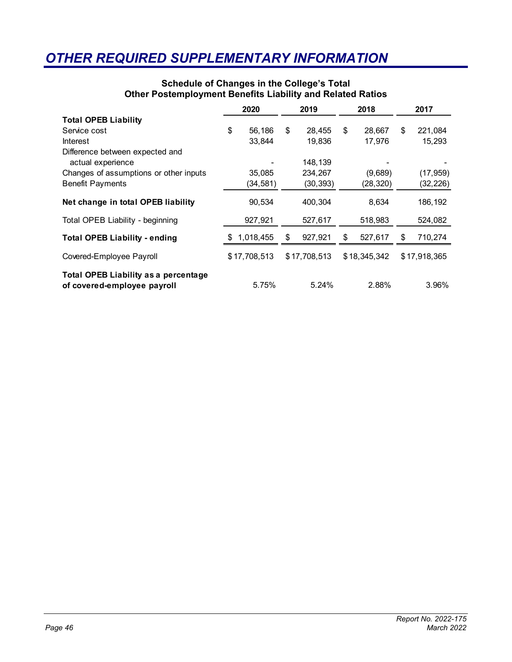# <span id="page-50-0"></span>*OTHER REQUIRED SUPPLEMENTARY INFORMATION*

|                                                                            | 2020            | 2019          | 2018          | 2017          |
|----------------------------------------------------------------------------|-----------------|---------------|---------------|---------------|
| <b>Total OPEB Liability</b>                                                |                 |               |               |               |
| Service cost                                                               | \$<br>56,186    | \$<br>28,455  | \$<br>28,667  | \$<br>221,084 |
| <b>Interest</b>                                                            | 33,844          | 19,836        | 17,976        | 15,293        |
| Difference between expected and                                            |                 |               |               |               |
| actual experience                                                          |                 | 148,139       |               |               |
| Changes of assumptions or other inputs                                     | 35,085          | 234,267       | (9,689)       | (17, 959)     |
| <b>Benefit Payments</b>                                                    | (34, 581)       | (30, 393)     | (28, 320)     | (32, 226)     |
| Net change in total OPEB liability                                         | 90,534          | 400,304       | 8,634         | 186,192       |
| Total OPEB Liability - beginning                                           | 927,921         | 527,617       | 518,983       | 524,082       |
| <b>Total OPEB Liability - ending</b>                                       | 1,018,455<br>\$ | 927,921<br>\$ | \$<br>527,617 | 710,274<br>S  |
| Covered-Employee Payroll                                                   | \$17,708,513    | \$17,708,513  | \$18,345,342  | \$17,918,365  |
| <b>Total OPEB Liability as a percentage</b><br>of covered-employee payroll | 5.75%           | 5.24%         | 2.88%         | 3.96%         |

### **Schedule of Changes in the College's Total Other Postemployment Benefits Liability and Related Ratios**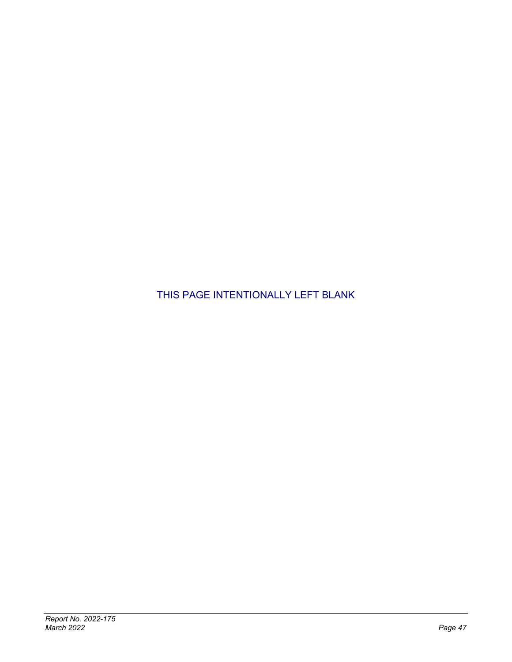THIS PAGE INTENTIONALLY LEFT BLANK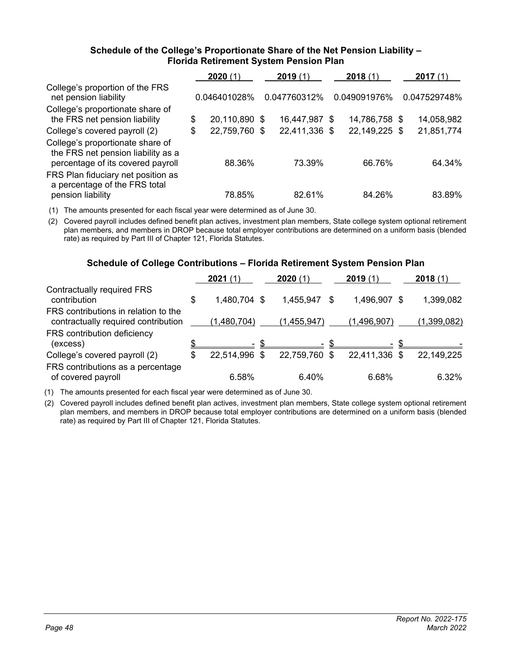### **Schedule of the College's Proportionate Share of the Net Pension Liability – Florida Retirement System Pension Plan**

<span id="page-52-0"></span>

|                                                                                                             | 2020(1)             | 2019(1)       | 2018(1)       | 2017         |
|-------------------------------------------------------------------------------------------------------------|---------------------|---------------|---------------|--------------|
| College's proportion of the FRS<br>net pension liability<br>College's proportionate share of                | 0.046401028%        | 0.047760312%  | 0.049091976%  | 0.047529748% |
| the FRS net pension liability                                                                               | \$<br>20,110,890 \$ | 16,447,987 \$ | 14,786,758 \$ | 14,058,982   |
| College's covered payroll (2)                                                                               | \$<br>22,759,760 \$ | 22,411,336 \$ | 22,149,225 \$ | 21,851,774   |
| College's proportionate share of<br>the FRS net pension liability as a<br>percentage of its covered payroll | 88.36%              | 73.39%        | 66.76%        | 64.34%       |
| FRS Plan fiduciary net position as<br>a percentage of the FRS total<br>pension liability                    | 78.85%              | 82.61%        | 84.26%        | 83.89%       |

(1) The amounts presented for each fiscal year were determined as of June 30.

(2) Covered payroll includes defined benefit plan actives, investment plan members, State college system optional retirement plan members, and members in DROP because total employer contributions are determined on a uniform basis (blended rate) as required by Part III of Chapter 121, Florida Statutes.

### **Schedule of College Contributions – Florida Retirement System Pension Plan**

|                                                                             | 2021(1)             | 2020(1)                  | 2019(1)          | 2018(1)          |
|-----------------------------------------------------------------------------|---------------------|--------------------------|------------------|------------------|
| Contractually required FRS<br>contribution                                  | \$<br>1,480,704 \$  | 1,455,947                | 1,496,907        | 1,399,082        |
| FRS contributions in relation to the<br>contractually required contribution | (1,480,704)         | (1,455,947)              | (1,496,907)      | (1,399,082)      |
| FRS contribution deficiency<br>(excess)                                     | \$                  | $\overline{\phantom{0}}$ |                  |                  |
| College's covered payroll (2)                                               | \$<br>22,514,996 \$ | 22,759,760               | \$<br>22,411,336 | \$<br>22,149,225 |
| FRS contributions as a percentage<br>of covered payroll                     | 6.58%               | 6.40%                    | 6.68%            | 6.32%            |

(1) The amounts presented for each fiscal year were determined as of June 30.

(2) Covered payroll includes defined benefit plan actives, investment plan members, State college system optional retirement plan members, and members in DROP because total employer contributions are determined on a uniform basis (blended rate) as required by Part III of Chapter 121, Florida Statutes.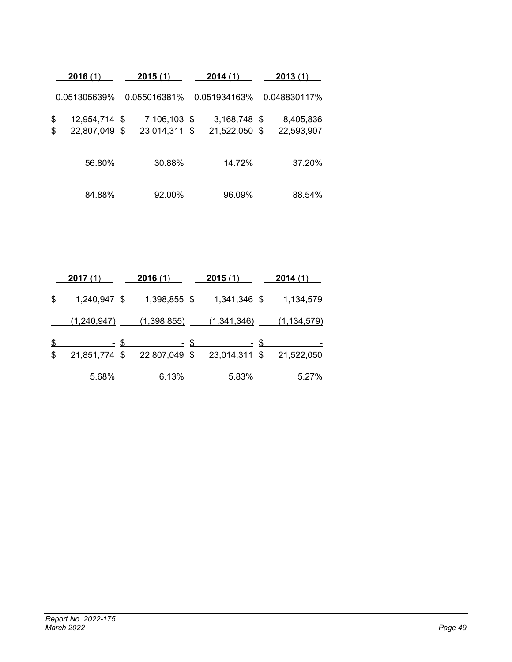|    | 2016(1)       | 2015(1)       | 2014(1)       | 2013 (1      |
|----|---------------|---------------|---------------|--------------|
|    | 0.051305639%  | 0.055016381%  | 0.051934163%  | 0.048830117% |
| \$ | 12,954,714 \$ | 7,106,103 \$  | 3,168,748 \$  | 8,405,836    |
| \$ | 22,807,049 \$ | 23,014,311 \$ | 21,522,050 \$ | 22,593,907   |
|    | 56.80%        | 30.88%        | 14.72%        | 37.20%       |
|    | 84.88%        | 92.00%        | 96.09%        | 88.54%       |

| 2017 (1             | 2016(1)       | 2015(1)       | 2014 (        |
|---------------------|---------------|---------------|---------------|
| \$<br>1,240,947 \$  | 1,398,855 \$  | 1,341,346 \$  | 1,134,579     |
| (1,240,947)         | (1,398,855)   | (1,341,346)   | (1, 134, 579) |
| \$<br>21,851,774 \$ | 22,807,049 \$ | 23,014,311 \$ | 21,522,050    |
|                     |               |               |               |
| 5.68%               | 6.13%         | 5.83%         | 5.27%         |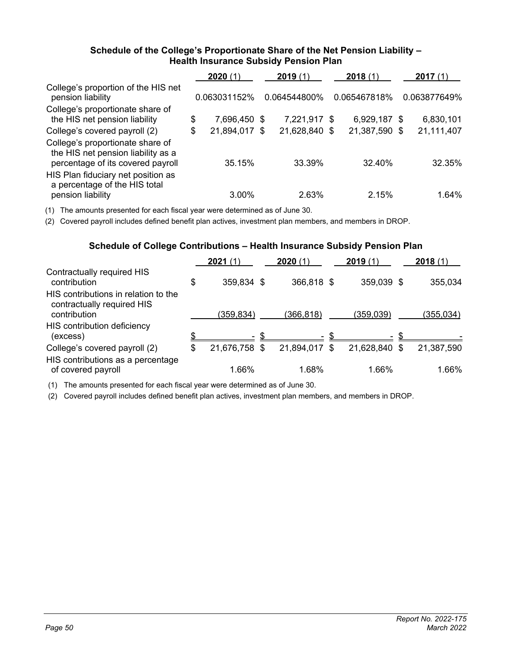### **Schedule of the College's Proportionate Share of the Net Pension Liability – Health Insurance Subsidy Pension Plan**

<span id="page-54-0"></span>

|                                                                                                             | 2020(1)             | 2019(1)       | 2018(1)       | 2017 (1      |
|-------------------------------------------------------------------------------------------------------------|---------------------|---------------|---------------|--------------|
| College's proportion of the HIS net<br>pension liability<br>College's proportionate share of                | 0.063031152%        | 0.064544800%  | 0.065467818%  | 0.063877649% |
| the HIS net pension liability                                                                               | \$<br>7,696,450 \$  | 7,221,917 \$  | 6,929,187 \$  | 6,830,101    |
| College's covered payroll (2)                                                                               | \$<br>21,894,017 \$ | 21,628,840 \$ | 21,387,590 \$ | 21,111,407   |
| College's proportionate share of<br>the HIS net pension liability as a<br>percentage of its covered payroll | 35.15%              | 33.39%        | 32.40%        | 32.35%       |
| HIS Plan fiduciary net position as<br>a percentage of the HIS total<br>pension liability                    | 3.00%               | 2.63%         | 2.15%         | 1.64%        |

(1) The amounts presented for each fiscal year were determined as of June 30.

(2) Covered payroll includes defined benefit plan actives, investment plan members, and members in DROP.

### **Schedule of College Contributions – Health Insurance Subsidy Pension Plan**

|                                                                    | 2021(1)             | 2020(1)    | 2019(1)             | 2018(1)    |
|--------------------------------------------------------------------|---------------------|------------|---------------------|------------|
| Contractually required HIS<br>contribution                         | \$<br>359,834 \$    | 366,818 \$ | 359,039 \$          | 355,034    |
| HIS contributions in relation to the<br>contractually required HIS |                     |            |                     |            |
| contribution                                                       | (359,834)           | (366, 818) | (359,039)           | (355,034)  |
| HIS contribution deficiency                                        |                     |            |                     |            |
| (excess)                                                           |                     |            |                     |            |
| College's covered payroll (2)                                      | \$<br>21,676,758 \$ | 21,894,017 | \$<br>21,628,840 \$ | 21,387,590 |
| HIS contributions as a percentage<br>of covered payroll            | 1.66%               | 1.68%      | 1.66%               | 1.66%      |

(1) The amounts presented for each fiscal year were determined as of June 30.

(2) Covered payroll includes defined benefit plan actives, investment plan members, and members in DROP.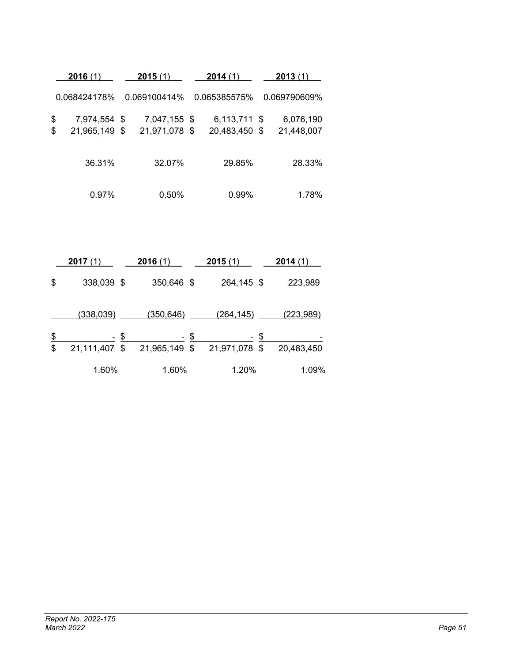|          | 2016(1)                       | 2015(1)                       | 2014(1)                       | 2013 (1                 |
|----------|-------------------------------|-------------------------------|-------------------------------|-------------------------|
|          | 0.068424178%                  | 0.069100414%                  | 0.065385575%                  | 0.069790609%            |
| \$<br>\$ | 7,974,554 \$<br>21,965,149 \$ | 7,047,155 \$<br>21,971,078 \$ | 6,113,711 \$<br>20,483,450 \$ | 6,076,190<br>21,448,007 |
|          | 36.31%                        | 32.07%                        | 29.85%                        | 28.33%                  |
|          | $0.97\%$                      | 0.50%                         | 0.99%                         | 1.78%                   |

| 2017(1)             | 2016(1)       | 2015(1)       | 2014(1)          |
|---------------------|---------------|---------------|------------------|
| \$<br>338,039 \$    | 350,646 \$    | 264,145 \$    | 223,989          |
| (338,039)           | (350, 646)    | (264, 145)    | <u>(223,989)</u> |
|                     | - \$          | - \$          |                  |
| \$<br>21,111,407 \$ | 21,965,149 \$ | 21,971,078 \$ | 20,483,450       |
| 1.60%               | 1.60%         | 1.20%         | 1.09%            |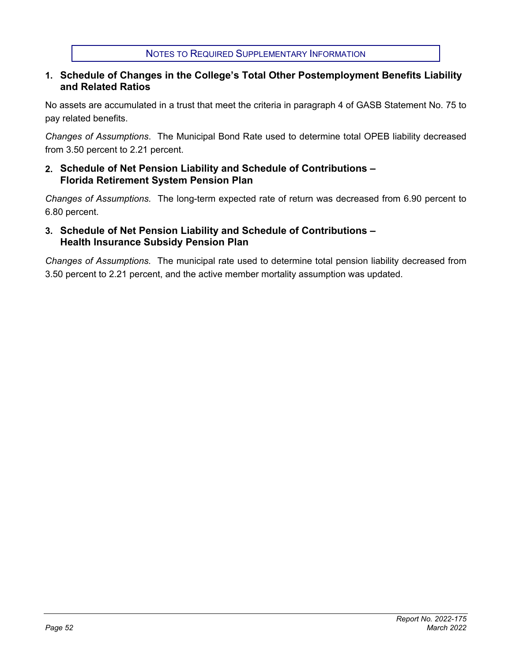### <span id="page-56-0"></span>**1. Schedule of Changes in the College's Total Other Postemployment Benefits Liability and Related Ratios**

No assets are accumulated in a trust that meet the criteria in paragraph 4 of GASB Statement No. 75 to pay related benefits.

*Changes of Assumptions*. The Municipal Bond Rate used to determine total OPEB liability decreased from 3.50 percent to 2.21 percent.

### **2. Schedule of Net Pension Liability and Schedule of Contributions – Florida Retirement System Pension Plan**

*Changes of Assumptions.* The long-term expected rate of return was decreased from 6.90 percent to 6.80 percent.

### **3. Schedule of Net Pension Liability and Schedule of Contributions – Health Insurance Subsidy Pension Plan**

*Changes of Assumptions.* The municipal rate used to determine total pension liability decreased from 3.50 percent to 2.21 percent, and the active member mortality assumption was updated.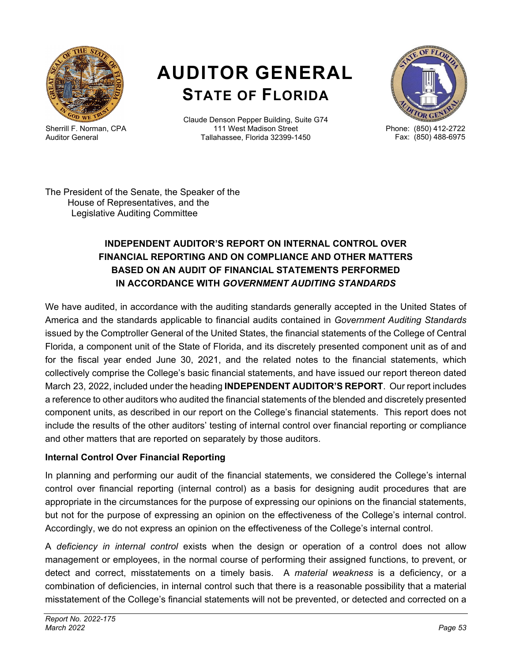<span id="page-57-0"></span>

Sherrill F. Norman, CPA Auditor General

# **AUDITOR GENERAL STATE OF FLORIDA**

Claude Denson Pepper Building, Suite G74 111 West Madison Street Tallahassee, Florida 32399-1450



Phone: (850) 412-2722 Fax: (850) 488-6975

The President of the Senate, the Speaker of the House of Representatives, and the Legislative Auditing Committee

### **INDEPENDENT AUDITOR'S REPORT ON INTERNAL CONTROL OVER FINANCIAL REPORTING AND ON COMPLIANCE AND OTHER MATTERS BASED ON AN AUDIT OF FINANCIAL STATEMENTS PERFORMED IN ACCORDANCE WITH** *GOVERNMENT AUDITING STANDARDS*

We have audited, in accordance with the auditing standards generally accepted in the United States of America and the standards applicable to financial audits contained in *Government Auditing Standards* issued by the Comptroller General of the United States, the financial statements of the College of Central Florida, a component unit of the State of Florida, and its discretely presented component unit as of and for the fiscal year ended June 30, 2021, and the related notes to the financial statements, which collectively comprise the College's basic financial statements, and have issued our report thereon dated March 23, 2022, included under the heading **INDEPENDENT AUDITOR'S REPORT**. Our report includes a reference to other auditors who audited the financial statements of the blended and discretely presented component units, as described in our report on the College's financial statements. This report does not include the results of the other auditors' testing of internal control over financial reporting or compliance and other matters that are reported on separately by those auditors.

### **Internal Control Over Financial Reporting**

In planning and performing our audit of the financial statements, we considered the College's internal control over financial reporting (internal control) as a basis for designing audit procedures that are appropriate in the circumstances for the purpose of expressing our opinions on the financial statements, but not for the purpose of expressing an opinion on the effectiveness of the College's internal control. Accordingly, we do not express an opinion on the effectiveness of the College's internal control.

A *deficiency in internal control* exists when the design or operation of a control does not allow management or employees, in the normal course of performing their assigned functions, to prevent, or detect and correct, misstatements on a timely basis. A *material weakness* is a deficiency, or a combination of deficiencies, in internal control such that there is a reasonable possibility that a material misstatement of the College's financial statements will not be prevented, or detected and corrected on a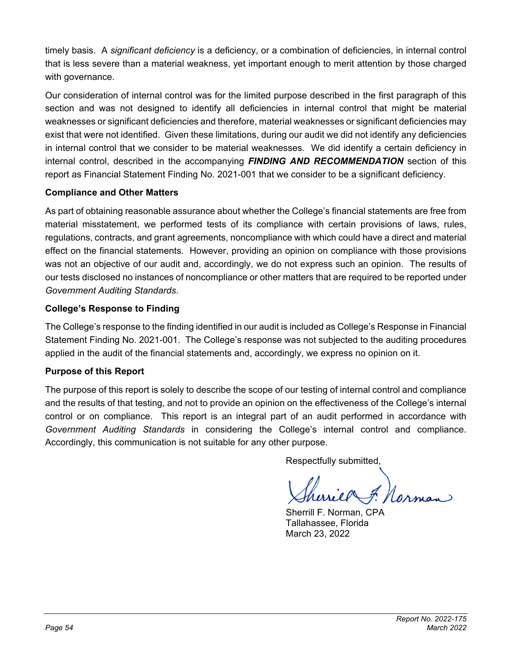<span id="page-58-0"></span>timely basis. A *significant deficiency* is a deficiency, or a combination of deficiencies, in internal control that is less severe than a material weakness, yet important enough to merit attention by those charged with governance.

Our consideration of internal control was for the limited purpose described in the first paragraph of this section and was not designed to identify all deficiencies in internal control that might be material weaknesses or significant deficiencies and therefore, material weaknesses or significant deficiencies may exist that were not identified. Given these limitations, during our audit we did not identify any deficiencies in internal control that we consider to be material weaknesses. We did identify a certain deficiency in internal control, described in the accompanying *FINDING AND RECOMMENDATION* section of this report as Financial Statement Finding No. 2021-001 that we consider to be a significant deficiency.

### **Compliance and Other Matters**

As part of obtaining reasonable assurance about whether the College's financial statements are free from material misstatement, we performed tests of its compliance with certain provisions of laws, rules, regulations, contracts, and grant agreements, noncompliance with which could have a direct and material effect on the financial statements. However, providing an opinion on compliance with those provisions was not an objective of our audit and, accordingly, we do not express such an opinion. The results of our tests disclosed no instances of noncompliance or other matters that are required to be reported under *Government Auditing Standards*.

### **College's Response to Finding**

The College's response to the finding identified in our audit is included as College's Response in Financial Statement Finding No. 2021-001. The College's response was not subjected to the auditing procedures applied in the audit of the financial statements and, accordingly, we express no opinion on it.

### **Purpose of this Report**

The purpose of this report is solely to describe the scope of our testing of internal control and compliance and the results of that testing, and not to provide an opinion on the effectiveness of the College's internal control or on compliance. This report is an integral part of an audit performed in accordance with *Government Auditing Standards* in considering the College's internal control and compliance. Accordingly, this communication is not suitable for any other purpose.

Respectfully submitted,

Sherrill F. Norman, CPA Tallahassee, Florida March 23, 2022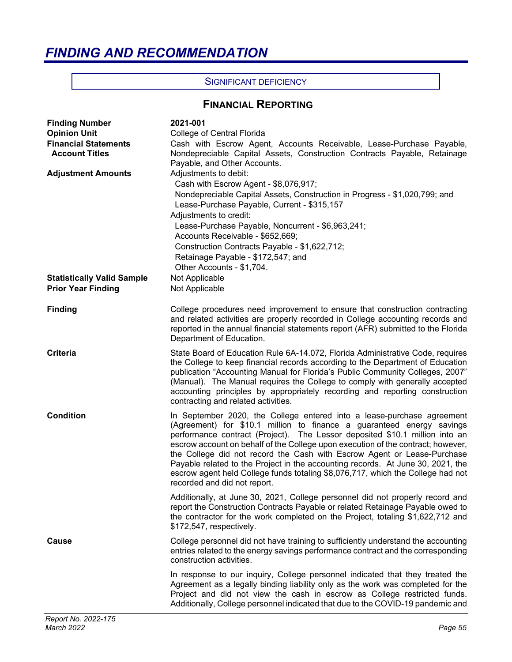# <span id="page-59-0"></span>*FINDING AND RECOMMENDATION*

### SIGNIFICANT DEFICIENCY

### **FINANCIAL REPORTING**

| <b>Finding Number</b>                                                       | 2021-001                                                                                                                                                                                                                                                                                                                                                                                                                                                                                                                                                                                            |
|-----------------------------------------------------------------------------|-----------------------------------------------------------------------------------------------------------------------------------------------------------------------------------------------------------------------------------------------------------------------------------------------------------------------------------------------------------------------------------------------------------------------------------------------------------------------------------------------------------------------------------------------------------------------------------------------------|
| <b>Opinion Unit</b><br><b>Financial Statements</b><br><b>Account Titles</b> | College of Central Florida<br>Cash with Escrow Agent, Accounts Receivable, Lease-Purchase Payable,<br>Nondepreciable Capital Assets, Construction Contracts Payable, Retainage<br>Payable, and Other Accounts.                                                                                                                                                                                                                                                                                                                                                                                      |
| <b>Adjustment Amounts</b>                                                   | Adjustments to debit:<br>Cash with Escrow Agent - \$8,076,917;<br>Nondepreciable Capital Assets, Construction in Progress - \$1,020,799; and<br>Lease-Purchase Payable, Current - \$315,157<br>Adjustments to credit:<br>Lease-Purchase Payable, Noncurrent - \$6,963,241;<br>Accounts Receivable - \$652,669;<br>Construction Contracts Payable - \$1,622,712;<br>Retainage Payable - \$172,547; and<br>Other Accounts - \$1,704.                                                                                                                                                                  |
| <b>Statistically Valid Sample</b><br><b>Prior Year Finding</b>              | Not Applicable<br>Not Applicable                                                                                                                                                                                                                                                                                                                                                                                                                                                                                                                                                                    |
| <b>Finding</b>                                                              | College procedures need improvement to ensure that construction contracting<br>and related activities are properly recorded in College accounting records and<br>reported in the annual financial statements report (AFR) submitted to the Florida<br>Department of Education.                                                                                                                                                                                                                                                                                                                      |
| <b>Criteria</b>                                                             | State Board of Education Rule 6A-14.072, Florida Administrative Code, requires<br>the College to keep financial records according to the Department of Education<br>publication "Accounting Manual for Florida's Public Community Colleges, 2007"<br>(Manual). The Manual requires the College to comply with generally accepted<br>accounting principles by appropriately recording and reporting construction<br>contracting and related activities.                                                                                                                                              |
| <b>Condition</b>                                                            | In September 2020, the College entered into a lease-purchase agreement<br>(Agreement) for \$10.1 million to finance a guaranteed energy savings<br>performance contract (Project). The Lessor deposited \$10.1 million into an<br>escrow account on behalf of the College upon execution of the contract; however,<br>the College did not record the Cash with Escrow Agent or Lease-Purchase<br>Payable related to the Project in the accounting records. At June 30, 2021, the<br>escrow agent held College funds totaling \$8,076,717, which the College had not<br>recorded and did not report. |
|                                                                             | Additionally, at June 30, 2021, College personnel did not properly record and<br>report the Construction Contracts Payable or related Retainage Payable owed to<br>the contractor for the work completed on the Project, totaling \$1,622,712 and<br>\$172,547, respectively.                                                                                                                                                                                                                                                                                                                       |
| Cause                                                                       | College personnel did not have training to sufficiently understand the accounting<br>entries related to the energy savings performance contract and the corresponding<br>construction activities.                                                                                                                                                                                                                                                                                                                                                                                                   |
|                                                                             | In response to our inquiry, College personnel indicated that they treated the<br>Agreement as a legally binding liability only as the work was completed for the<br>Project and did not view the cash in escrow as College restricted funds.<br>Additionally, College personnel indicated that due to the COVID-19 pandemic and                                                                                                                                                                                                                                                                     |